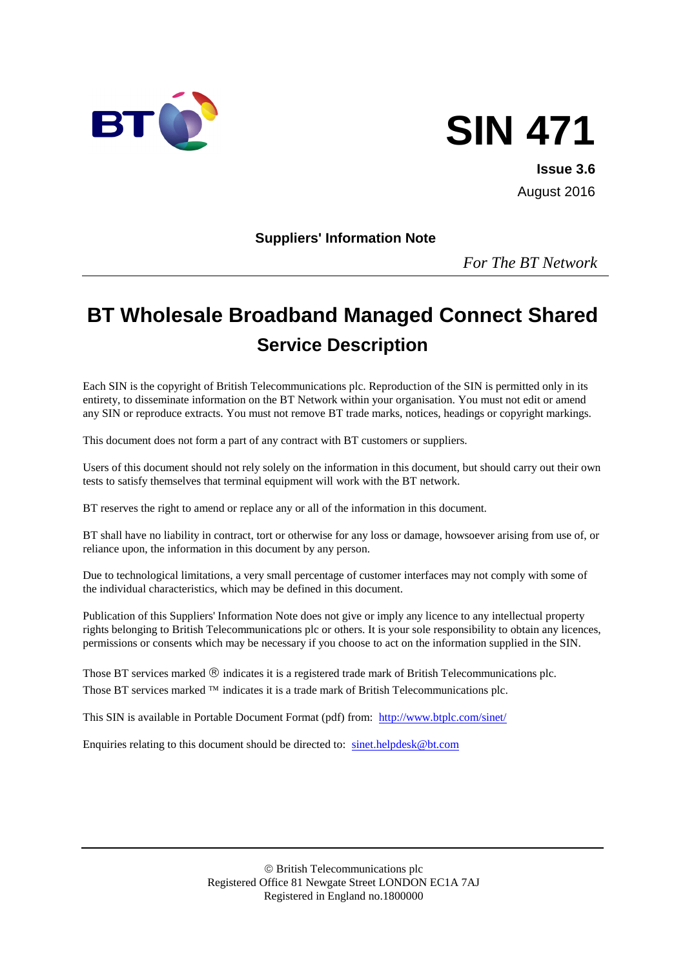

# **SIN 471**

**Issue 3.6** August 2016

**Suppliers' Information Note**

*For The BT Network*

# **BT Wholesale Broadband Managed Connect Shared Service Description**

Each SIN is the copyright of British Telecommunications plc. Reproduction of the SIN is permitted only in its entirety, to disseminate information on the BT Network within your organisation. You must not edit or amend any SIN or reproduce extracts. You must not remove BT trade marks, notices, headings or copyright markings.

This document does not form a part of any contract with BT customers or suppliers.

Users of this document should not rely solely on the information in this document, but should carry out their own tests to satisfy themselves that terminal equipment will work with the BT network.

BT reserves the right to amend or replace any or all of the information in this document.

BT shall have no liability in contract, tort or otherwise for any loss or damage, howsoever arising from use of, or reliance upon, the information in this document by any person.

Due to technological limitations, a very small percentage of customer interfaces may not comply with some of the individual characteristics, which may be defined in this document.

Publication of this Suppliers' Information Note does not give or imply any licence to any intellectual property rights belonging to British Telecommunications plc or others. It is your sole responsibility to obtain any licences, permissions or consents which may be necessary if you choose to act on the information supplied in the SIN.

Those BT services marked  $\circledR$  indicates it is a registered trade mark of British Telecommunications plc. Those BT services marked  $TM$  indicates it is a trade mark of British Telecommunications plc.

This SIN is available in Portable Document Format (pdf) from: <http://www.btplc.com/sinet/>

Enquiries relating to this document should be directed to: [sinet.helpdesk@bt.com](mailto:sinet.helpdesk@bt.com)

 British Telecommunications plc Registered Office 81 Newgate Street LONDON EC1A 7AJ Registered in England no.1800000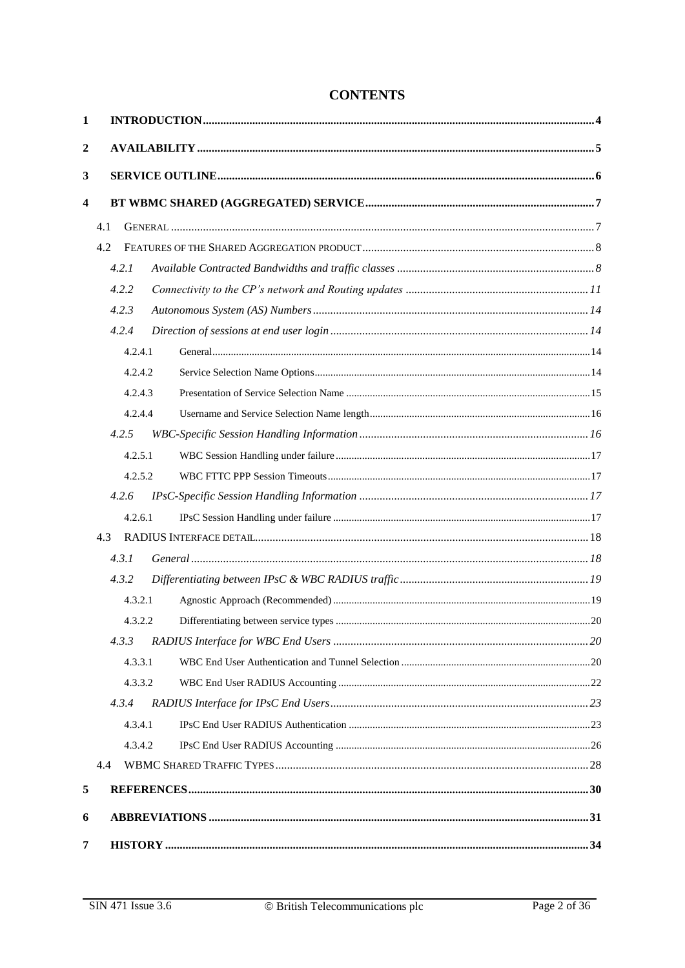| $\mathbf{1}$   |                |  |
|----------------|----------------|--|
| $\overline{2}$ |                |  |
| 3              |                |  |
| 4              |                |  |
|                |                |  |
|                | 4.1            |  |
|                | 4.2            |  |
|                | 4.2.1          |  |
|                | 4.2.2          |  |
|                | 4.2.3<br>4.2.4 |  |
|                | 4.2.4.1        |  |
|                | 4.2.4.2        |  |
|                | 4.2.4.3        |  |
|                | 4.2.4.4        |  |
|                | 4.2.5          |  |
|                | 4.2.5.1        |  |
|                | 4.2.5.2        |  |
|                | 4.2.6          |  |
|                | 4.2.6.1        |  |
|                | 4.3            |  |
|                | 4.3.1          |  |
|                | 4.3.2          |  |
|                | 4.3.2.1        |  |
|                | 4.3.2.2        |  |
|                | 4.3.3          |  |
|                | 4.3.3.1        |  |
|                | 4.3.3.2        |  |
|                | 4.3.4          |  |
|                | 4.3.4.1        |  |
|                | 4.3.4.2        |  |
|                | 4.4            |  |
| 5              |                |  |
| 6              |                |  |
| 7              |                |  |

#### **CONTENTS**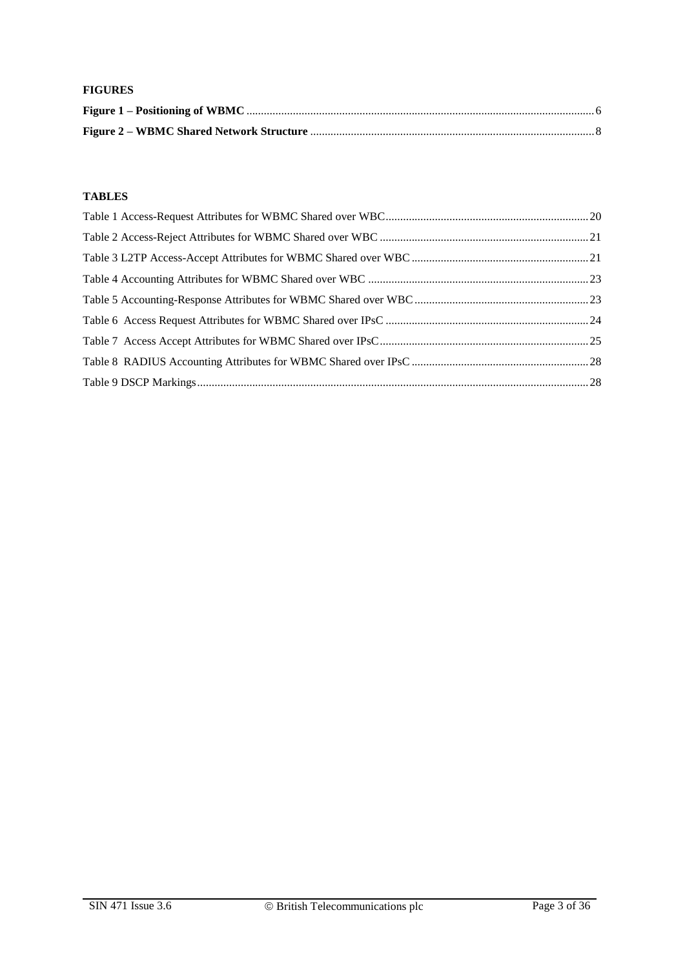#### **FIGURES**

#### **TABLES**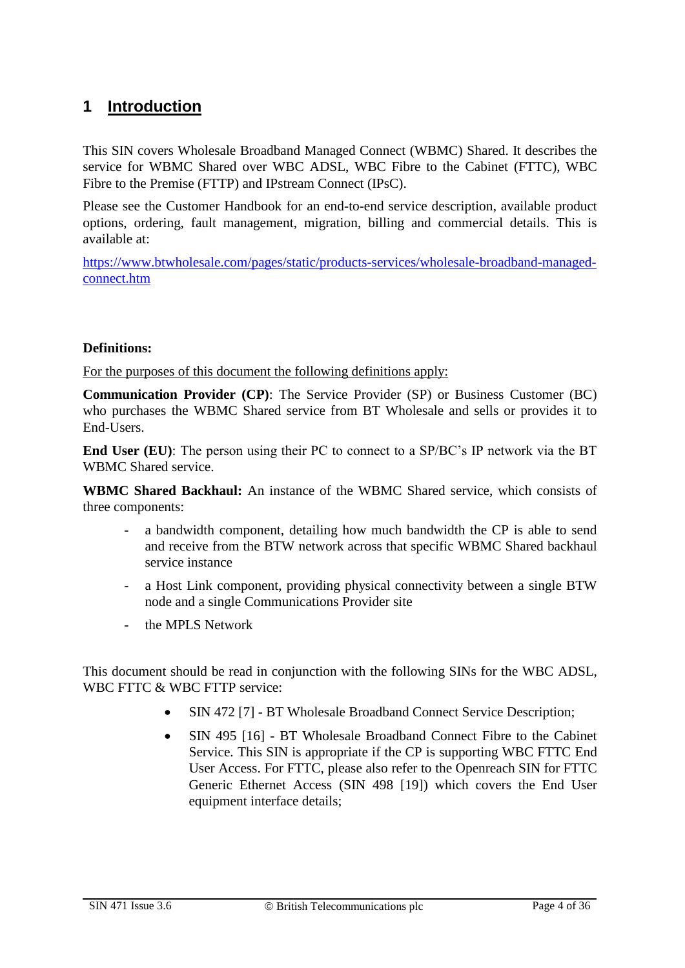# <span id="page-3-0"></span>**1 Introduction**

This SIN covers Wholesale Broadband Managed Connect (WBMC) Shared. It describes the service for WBMC Shared over WBC ADSL, WBC Fibre to the Cabinet (FTTC), WBC Fibre to the Premise (FTTP) and IPstream Connect (IPsC).

Please see the Customer Handbook for an end-to-end service description, available product options, ordering, fault management, migration, billing and commercial details. This is available at:

[https://www.btwholesale.com/pages/static/products-services/wholesale-broadband-managed](https://www.btwholesale.com/pages/static/products-services/wholesale-broadband-managed-connect.htm)[connect.htm](https://www.btwholesale.com/pages/static/products-services/wholesale-broadband-managed-connect.htm)

#### **Definitions:**

For the purposes of this document the following definitions apply:

**Communication Provider (CP)**: The Service Provider (SP) or Business Customer (BC) who purchases the WBMC Shared service from BT Wholesale and sells or provides it to End-Users.

**End User (EU)**: The person using their PC to connect to a SP/BC's IP network via the BT WBMC Shared service.

**WBMC Shared Backhaul:** An instance of the WBMC Shared service, which consists of three components:

- a bandwidth component, detailing how much bandwidth the CP is able to send and receive from the BTW network across that specific WBMC Shared backhaul service instance
- a Host Link component, providing physical connectivity between a single BTW node and a single Communications Provider site
- the MPLS Network

This document should be read in conjunction with the following SINs for the WBC ADSL, WBC FTTC & WBC FTTP service:

- SIN 472 [7] BT Wholesale Broadband Connect Service Description;
- SIN 495 [16] BT Wholesale Broadband Connect Fibre to the Cabinet Service. This SIN is appropriate if the CP is supporting WBC FTTC End User Access. For FTTC, please also refer to the Openreach SIN for FTTC Generic Ethernet Access (SIN 498 [19]) which covers the End User equipment interface details;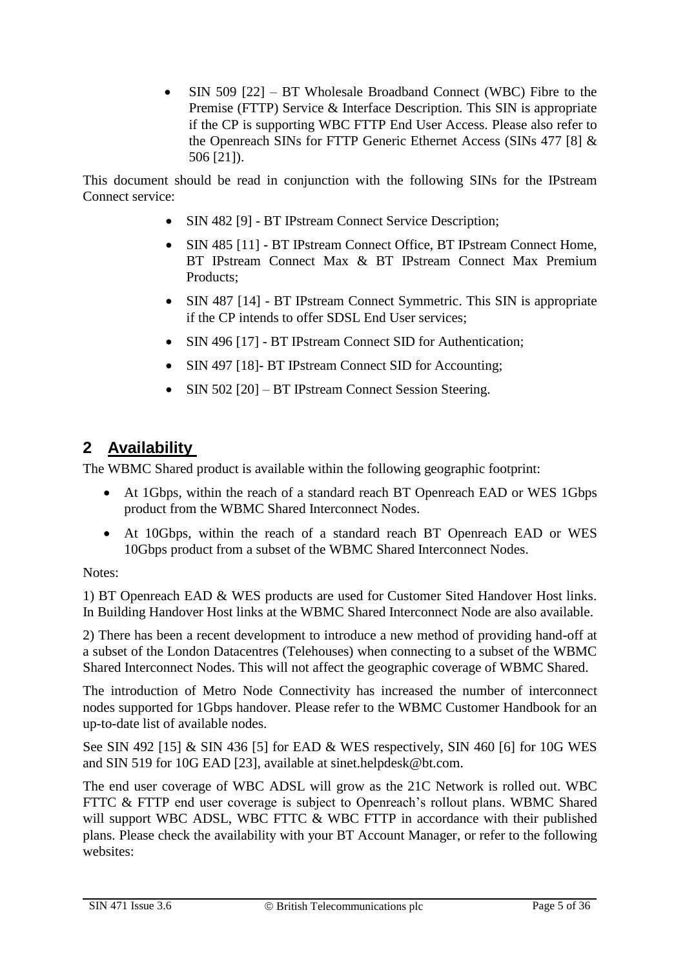• SIN 509 [22] – BT Wholesale Broadband Connect (WBC) Fibre to the Premise (FTTP) Service & Interface Description. This SIN is appropriate if the CP is supporting WBC FTTP End User Access. Please also refer to the Openreach SINs for FTTP Generic Ethernet Access (SINs 477 [8] & 506 [21]).

This document should be read in conjunction with the following SINs for the IPstream Connect service:

- SIN 482 [9] BT IPstream Connect Service Description;
- SIN 485 [11] BT IPstream Connect Office, BT IPstream Connect Home, BT IPstream Connect Max & BT IPstream Connect Max Premium Products;
- SIN 487 [14] BT IPstream Connect Symmetric. This SIN is appropriate if the CP intends to offer SDSL End User services;
- SIN 496 [17] BT IPstream Connect SID for Authentication;
- SIN 497 [18]- BT IPstream Connect SID for Accounting;
- SIN 502 [20] BT IPstream Connect Session Steering.

# <span id="page-4-0"></span>**2 Availability**

The WBMC Shared product is available within the following geographic footprint:

- At 1Gbps, within the reach of a standard reach BT Openreach EAD or WES 1Gbps product from the WBMC Shared Interconnect Nodes.
- At 10Gbps, within the reach of a standard reach BT Openreach EAD or WES 10Gbps product from a subset of the WBMC Shared Interconnect Nodes.

#### Notes:

1) BT Openreach EAD & WES products are used for Customer Sited Handover Host links. In Building Handover Host links at the WBMC Shared Interconnect Node are also available.

2) There has been a recent development to introduce a new method of providing hand-off at a subset of the London Datacentres (Telehouses) when connecting to a subset of the WBMC Shared Interconnect Nodes. This will not affect the geographic coverage of WBMC Shared.

The introduction of Metro Node Connectivity has increased the number of interconnect nodes supported for 1Gbps handover. Please refer to the WBMC Customer Handbook for an up-to-date list of available nodes.

See SIN 492 [15] & SIN 436 [5] for EAD & WES respectively, SIN 460 [6] for 10G WES and SIN 519 for 10G EAD [23], available at sinet.helpdesk@bt.com.

The end user coverage of WBC ADSL will grow as the 21C Network is rolled out. WBC FTTC & FTTP end user coverage is subject to Openreach's rollout plans. WBMC Shared will support WBC ADSL, WBC FTTC & WBC FTTP in accordance with their published plans. Please check the availability with your BT Account Manager, or refer to the following websites: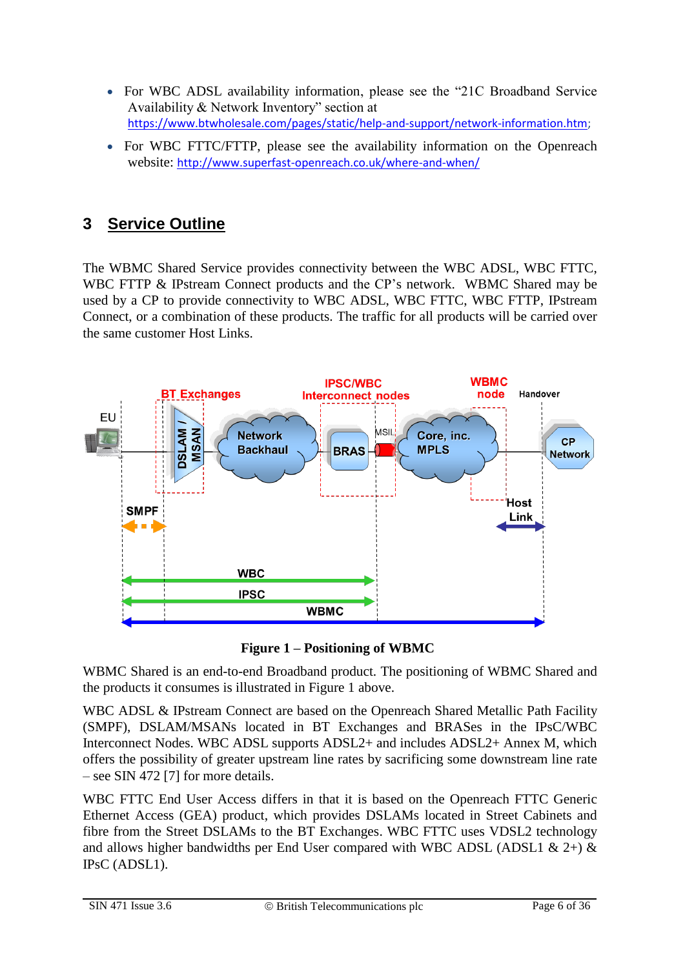- For WBC ADSL availability information, please see the "21C Broadband Service" Availability & Network Inventory" section at [https://www.btwholesale.com/pages/static/help-and-support/network-information.htm;](https://www.btwholesale.com/pages/static/help-and-support/network-information.htm)
- For WBC FTTC/FTTP, please see the availability information on the Openreach website: <http://www.superfast-openreach.co.uk/where-and-when/>

# <span id="page-5-0"></span>**3 Service Outline**

The WBMC Shared Service provides connectivity between the WBC ADSL, WBC FTTC, WBC FTTP & IPstream Connect products and the CP's network. WBMC Shared may be used by a CP to provide connectivity to WBC ADSL, WBC FTTC, WBC FTTP, IPstream Connect, or a combination of these products. The traffic for all products will be carried over the same customer Host Links.



**Figure 1 – Positioning of WBMC**

<span id="page-5-1"></span>WBMC Shared is an end-to-end Broadband product. The positioning of WBMC Shared and the products it consumes is illustrated in Figure 1 above.

WBC ADSL & IPstream Connect are based on the Openreach Shared Metallic Path Facility (SMPF), DSLAM/MSANs located in BT Exchanges and BRASes in the IPsC/WBC Interconnect Nodes. WBC ADSL supports ADSL2+ and includes ADSL2+ Annex M, which offers the possibility of greater upstream line rates by sacrificing some downstream line rate – see SIN 472 [7] for more details.

WBC FTTC End User Access differs in that it is based on the Openreach FTTC Generic Ethernet Access (GEA) product, which provides DSLAMs located in Street Cabinets and fibre from the Street DSLAMs to the BT Exchanges. WBC FTTC uses VDSL2 technology and allows higher bandwidths per End User compared with WBC ADSL (ADSL1  $\&$  2+)  $\&$ IPsC (ADSL1).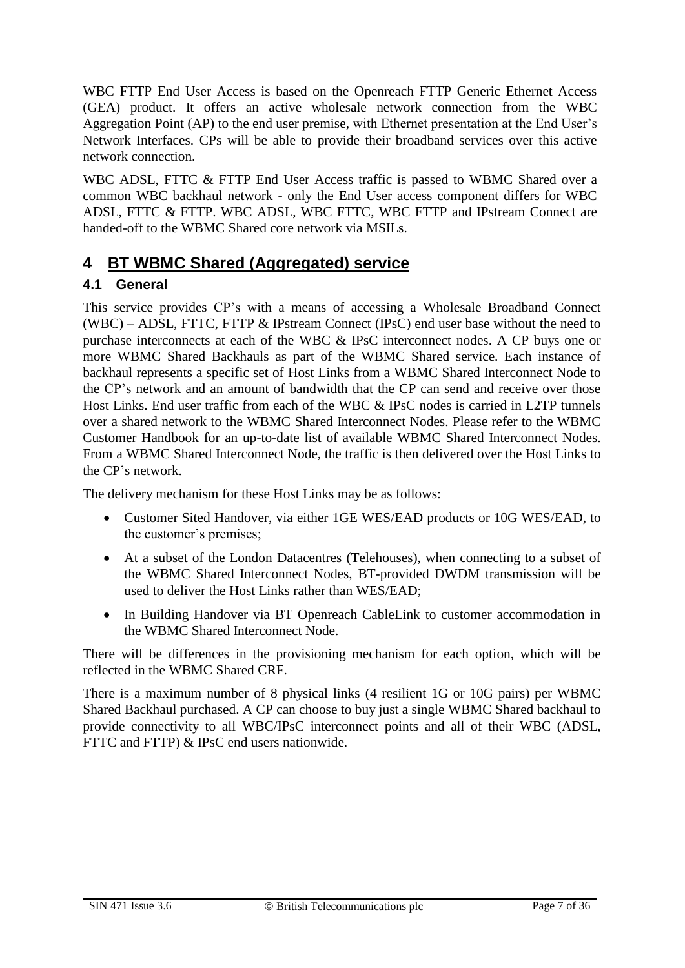WBC FTTP End User Access is based on the Openreach FTTP Generic Ethernet Access (GEA) product. It offers an active wholesale network connection from the WBC Aggregation Point (AP) to the end user premise, with Ethernet presentation at the End User's Network Interfaces. CPs will be able to provide their broadband services over this active network connection.

WBC ADSL, FTTC & FTTP End User Access traffic is passed to WBMC Shared over a common WBC backhaul network - only the End User access component differs for WBC ADSL, FTTC & FTTP. WBC ADSL, WBC FTTC, WBC FTTP and IPstream Connect are handed-off to the WBMC Shared core network via MSILs.

#### <span id="page-6-0"></span>**4 BT WBMC Shared (Aggregated) service**

#### <span id="page-6-1"></span>**4.1 General**

This service provides CP's with a means of accessing a Wholesale Broadband Connect (WBC) – ADSL, FTTC, FTTP & IPstream Connect (IPsC) end user base without the need to purchase interconnects at each of the WBC & IPsC interconnect nodes. A CP buys one or more WBMC Shared Backhauls as part of the WBMC Shared service. Each instance of backhaul represents a specific set of Host Links from a WBMC Shared Interconnect Node to the CP's network and an amount of bandwidth that the CP can send and receive over those Host Links. End user traffic from each of the WBC & IPsC nodes is carried in L2TP tunnels over a shared network to the WBMC Shared Interconnect Nodes. Please refer to the WBMC Customer Handbook for an up-to-date list of available WBMC Shared Interconnect Nodes. From a WBMC Shared Interconnect Node, the traffic is then delivered over the Host Links to the CP's network.

The delivery mechanism for these Host Links may be as follows:

- Customer Sited Handover, via either 1GE WES/EAD products or 10G WES/EAD, to the customer's premises;
- At a subset of the London Datacentres (Telehouses), when connecting to a subset of the WBMC Shared Interconnect Nodes, BT-provided DWDM transmission will be used to deliver the Host Links rather than WES/EAD;
- In Building Handover via BT Openreach CableLink to customer accommodation in the WBMC Shared Interconnect Node.

There will be differences in the provisioning mechanism for each option, which will be reflected in the WBMC Shared CRF.

There is a maximum number of 8 physical links (4 resilient 1G or 10G pairs) per WBMC Shared Backhaul purchased. A CP can choose to buy just a single WBMC Shared backhaul to provide connectivity to all WBC/IPsC interconnect points and all of their WBC (ADSL, FTTC and FTTP) & IPsC end users nationwide.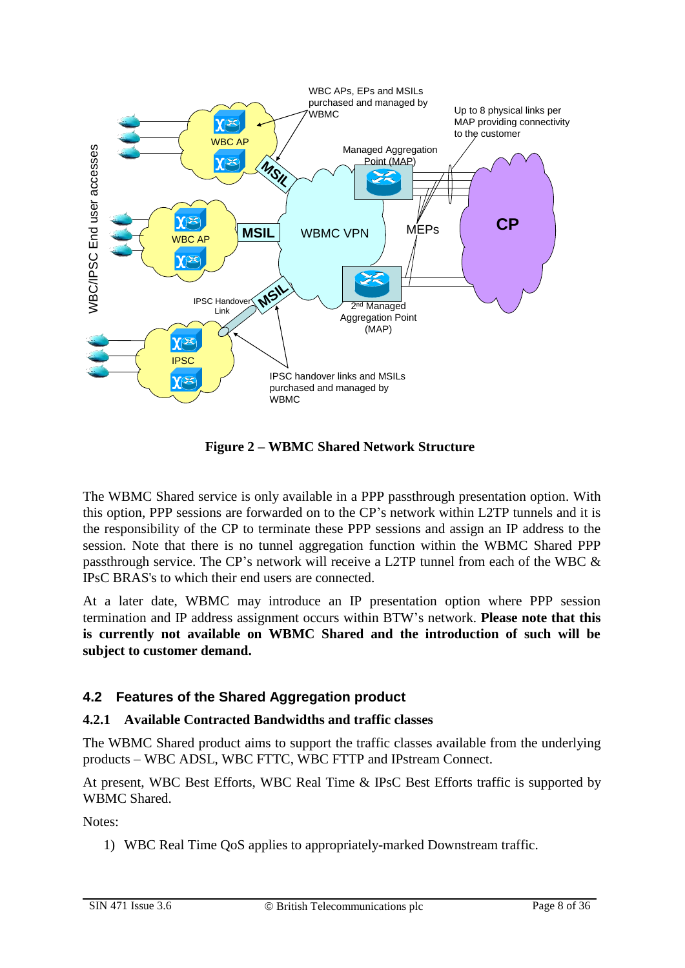

**Figure 2 – WBMC Shared Network Structure**

<span id="page-7-2"></span>The WBMC Shared service is only available in a PPP passthrough presentation option. With this option, PPP sessions are forwarded on to the CP's network within L2TP tunnels and it is the responsibility of the CP to terminate these PPP sessions and assign an IP address to the session. Note that there is no tunnel aggregation function within the WBMC Shared PPP passthrough service. The CP's network will receive a L2TP tunnel from each of the WBC & IPsC BRAS's to which their end users are connected.

At a later date, WBMC may introduce an IP presentation option where PPP session termination and IP address assignment occurs within BTW's network. **Please note that this is currently not available on WBMC Shared and the introduction of such will be subject to customer demand.**

#### <span id="page-7-0"></span>**4.2 Features of the Shared Aggregation product**

#### <span id="page-7-1"></span>**4.2.1 Available Contracted Bandwidths and traffic classes**

The WBMC Shared product aims to support the traffic classes available from the underlying products – WBC ADSL, WBC FTTC, WBC FTTP and IPstream Connect.

At present, WBC Best Efforts, WBC Real Time & IPsC Best Efforts traffic is supported by WBMC Shared.

Notes:

1) WBC Real Time QoS applies to appropriately-marked Downstream traffic.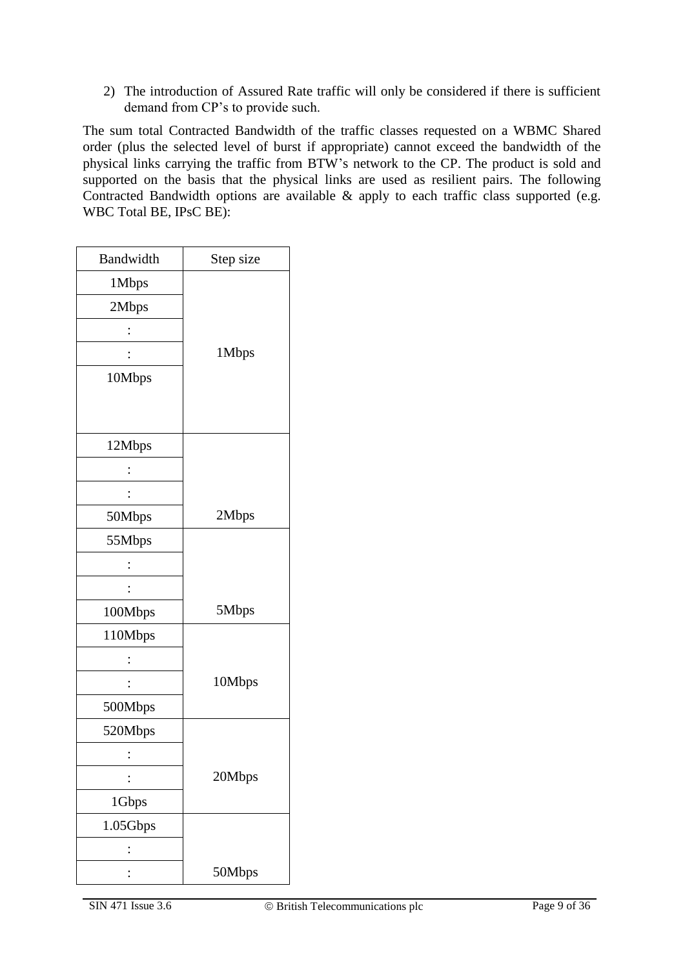2) The introduction of Assured Rate traffic will only be considered if there is sufficient demand from CP's to provide such.

The sum total Contracted Bandwidth of the traffic classes requested on a WBMC Shared order (plus the selected level of burst if appropriate) cannot exceed the bandwidth of the physical links carrying the traffic from BTW's network to the CP. The product is sold and supported on the basis that the physical links are used as resilient pairs. The following Contracted Bandwidth options are available  $\&$  apply to each traffic class supported (e.g. WBC Total BE, IPsC BE):

| Bandwidth | Step size |
|-----------|-----------|
| 1Mbps     |           |
| 2Mbps     |           |
|           |           |
|           | 1Mbps     |
| 10Mbps    |           |
|           |           |
|           |           |
| 12Mbps    |           |
|           |           |
|           |           |
| 50Mbps    | 2Mbps     |
| 55Mbps    |           |
|           |           |
|           |           |
| 100Mbps   | 5Mbps     |
| 110Mbps   |           |
|           |           |
|           | 10Mbps    |
| 500Mbps   |           |
| 520Mbps   |           |
|           |           |
|           | 20Mbps    |
| 1Gbps     |           |
| 1.05Gbps  |           |
|           |           |
|           | 50Mbps    |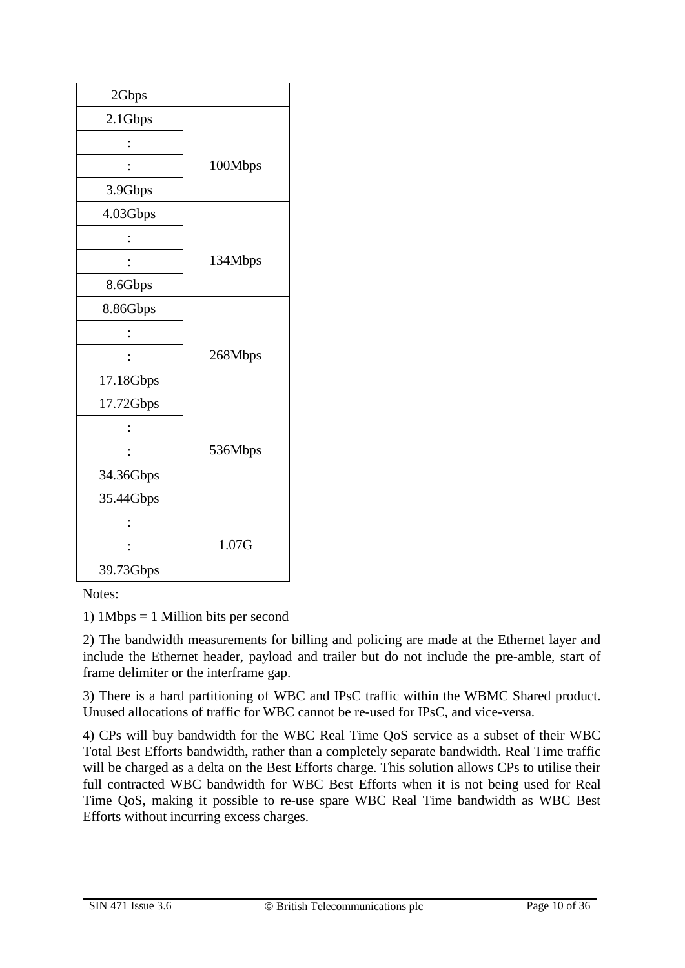| 2Gbps     |         |
|-----------|---------|
| 2.1Gbps   |         |
|           |         |
|           | 100Mbps |
| 3.9Gbps   |         |
| 4.03Gbps  |         |
|           |         |
|           | 134Mbps |
| 8.6Gbps   |         |
| 8.86Gbps  |         |
|           |         |
|           | 268Mbps |
| 17.18Gbps |         |
| 17.72Gbps |         |
|           |         |
|           | 536Mbps |
| 34.36Gbps |         |
| 35.44Gbps |         |
|           |         |
|           | 1.07G   |
| 39.73Gbps |         |

Notes:

1) 1Mbps = 1 Million bits per second

2) The bandwidth measurements for billing and policing are made at the Ethernet layer and include the Ethernet header, payload and trailer but do not include the pre-amble, start of frame delimiter or the interframe gap.

3) There is a hard partitioning of WBC and IPsC traffic within the WBMC Shared product. Unused allocations of traffic for WBC cannot be re-used for IPsC, and vice-versa.

4) CPs will buy bandwidth for the WBC Real Time QoS service as a subset of their WBC Total Best Efforts bandwidth, rather than a completely separate bandwidth. Real Time traffic will be charged as a delta on the Best Efforts charge. This solution allows CPs to utilise their full contracted WBC bandwidth for WBC Best Efforts when it is not being used for Real Time QoS, making it possible to re-use spare WBC Real Time bandwidth as WBC Best Efforts without incurring excess charges.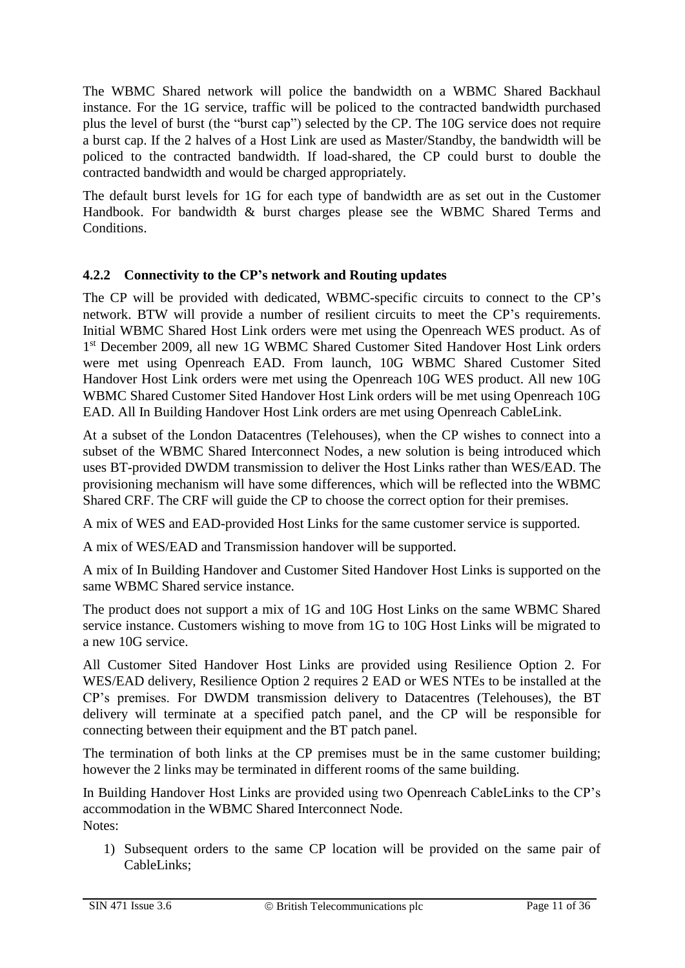The WBMC Shared network will police the bandwidth on a WBMC Shared Backhaul instance. For the 1G service, traffic will be policed to the contracted bandwidth purchased plus the level of burst (the "burst cap") selected by the CP. The 10G service does not require a burst cap. If the 2 halves of a Host Link are used as Master/Standby, the bandwidth will be policed to the contracted bandwidth. If load-shared, the CP could burst to double the contracted bandwidth and would be charged appropriately.

The default burst levels for 1G for each type of bandwidth are as set out in the Customer Handbook. For bandwidth & burst charges please see the WBMC Shared Terms and Conditions.

#### <span id="page-10-0"></span>**4.2.2 Connectivity to the CP's network and Routing updates**

The CP will be provided with dedicated, WBMC-specific circuits to connect to the CP's network. BTW will provide a number of resilient circuits to meet the CP's requirements. Initial WBMC Shared Host Link orders were met using the Openreach WES product. As of 1<sup>st</sup> December 2009, all new 1G WBMC Shared Customer Sited Handover Host Link orders were met using Openreach EAD. From launch, 10G WBMC Shared Customer Sited Handover Host Link orders were met using the Openreach 10G WES product. All new 10G WBMC Shared Customer Sited Handover Host Link orders will be met using Openreach 10G EAD. All In Building Handover Host Link orders are met using Openreach CableLink.

At a subset of the London Datacentres (Telehouses), when the CP wishes to connect into a subset of the WBMC Shared Interconnect Nodes, a new solution is being introduced which uses BT-provided DWDM transmission to deliver the Host Links rather than WES/EAD. The provisioning mechanism will have some differences, which will be reflected into the WBMC Shared CRF. The CRF will guide the CP to choose the correct option for their premises.

A mix of WES and EAD-provided Host Links for the same customer service is supported.

A mix of WES/EAD and Transmission handover will be supported.

A mix of In Building Handover and Customer Sited Handover Host Links is supported on the same WBMC Shared service instance.

The product does not support a mix of 1G and 10G Host Links on the same WBMC Shared service instance. Customers wishing to move from 1G to 10G Host Links will be migrated to a new 10G service.

All Customer Sited Handover Host Links are provided using Resilience Option 2. For WES/EAD delivery, Resilience Option 2 requires 2 EAD or WES NTEs to be installed at the CP's premises. For DWDM transmission delivery to Datacentres (Telehouses), the BT delivery will terminate at a specified patch panel, and the CP will be responsible for connecting between their equipment and the BT patch panel.

The termination of both links at the CP premises must be in the same customer building; however the 2 links may be terminated in different rooms of the same building.

In Building Handover Host Links are provided using two Openreach CableLinks to the CP's accommodation in the WBMC Shared Interconnect Node. Notes:

1) Subsequent orders to the same CP location will be provided on the same pair of CableLinks;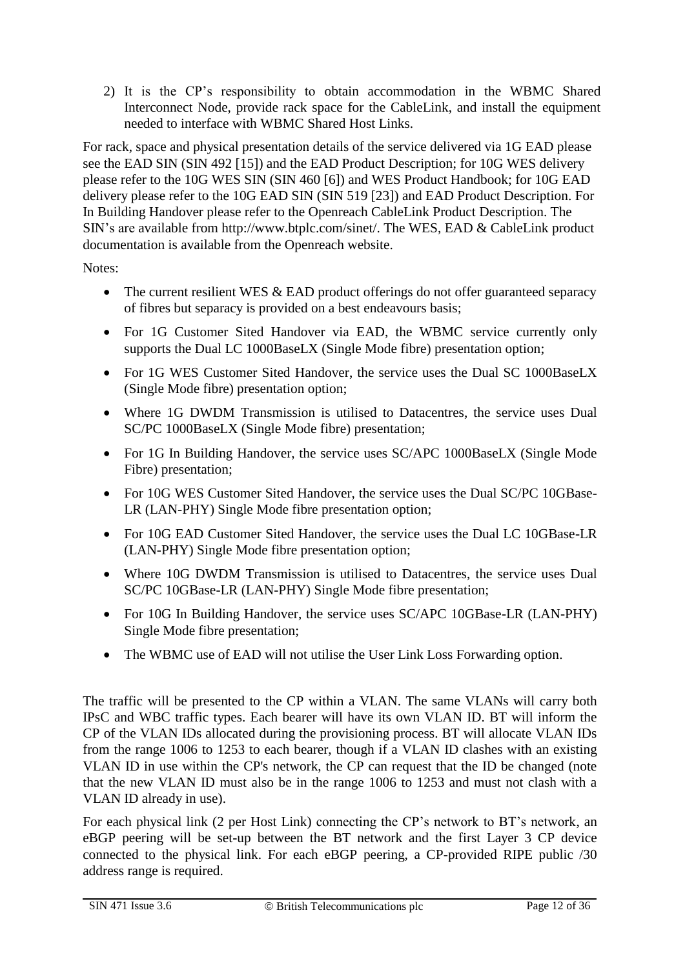2) It is the CP's responsibility to obtain accommodation in the WBMC Shared Interconnect Node, provide rack space for the CableLink, and install the equipment needed to interface with WBMC Shared Host Links.

For rack, space and physical presentation details of the service delivered via 1G EAD please see the EAD SIN (SIN 492 [15]) and the EAD Product Description; for 10G WES delivery please refer to the 10G WES SIN (SIN 460 [6]) and WES Product Handbook; for 10G EAD delivery please refer to the 10G EAD SIN (SIN 519 [23]) and EAD Product Description. For In Building Handover please refer to the Openreach CableLink Product Description. The SIN's are available from http://www.btplc.com/sinet/. The WES, EAD & CableLink product documentation is available from the Openreach website.

Notes:

- The current resilient WES  $&$  EAD product offerings do not offer guaranteed separacy of fibres but separacy is provided on a best endeavours basis;
- For 1G Customer Sited Handover via EAD, the WBMC service currently only supports the Dual LC 1000BaseLX (Single Mode fibre) presentation option;
- For 1G WES Customer Sited Handover, the service uses the Dual SC 1000BaseLX (Single Mode fibre) presentation option;
- Where 1G DWDM Transmission is utilised to Datacentres, the service uses Dual SC/PC 1000BaseLX (Single Mode fibre) presentation;
- For 1G In Building Handover, the service uses SC/APC 1000BaseLX (Single Mode Fibre) presentation;
- For 10G WES Customer Sited Handover, the service uses the Dual SC/PC 10GBase-LR (LAN-PHY) Single Mode fibre presentation option;
- For 10G EAD Customer Sited Handover, the service uses the Dual LC 10GBase-LR (LAN-PHY) Single Mode fibre presentation option;
- Where 10G DWDM Transmission is utilised to Datacentres, the service uses Dual SC/PC 10GBase-LR (LAN-PHY) Single Mode fibre presentation;
- For 10G In Building Handover, the service uses SC/APC 10GBase-LR (LAN-PHY) Single Mode fibre presentation;
- The WBMC use of EAD will not utilise the User Link Loss Forwarding option.

The traffic will be presented to the CP within a VLAN. The same VLANs will carry both IPsC and WBC traffic types. Each bearer will have its own VLAN ID. BT will inform the CP of the VLAN IDs allocated during the provisioning process. BT will allocate VLAN IDs from the range 1006 to 1253 to each bearer, though if a VLAN ID clashes with an existing VLAN ID in use within the CP's network, the CP can request that the ID be changed (note that the new VLAN ID must also be in the range 1006 to 1253 and must not clash with a VLAN ID already in use).

For each physical link (2 per Host Link) connecting the CP's network to BT's network, an eBGP peering will be set-up between the BT network and the first Layer 3 CP device connected to the physical link. For each eBGP peering, a CP-provided RIPE public /30 address range is required.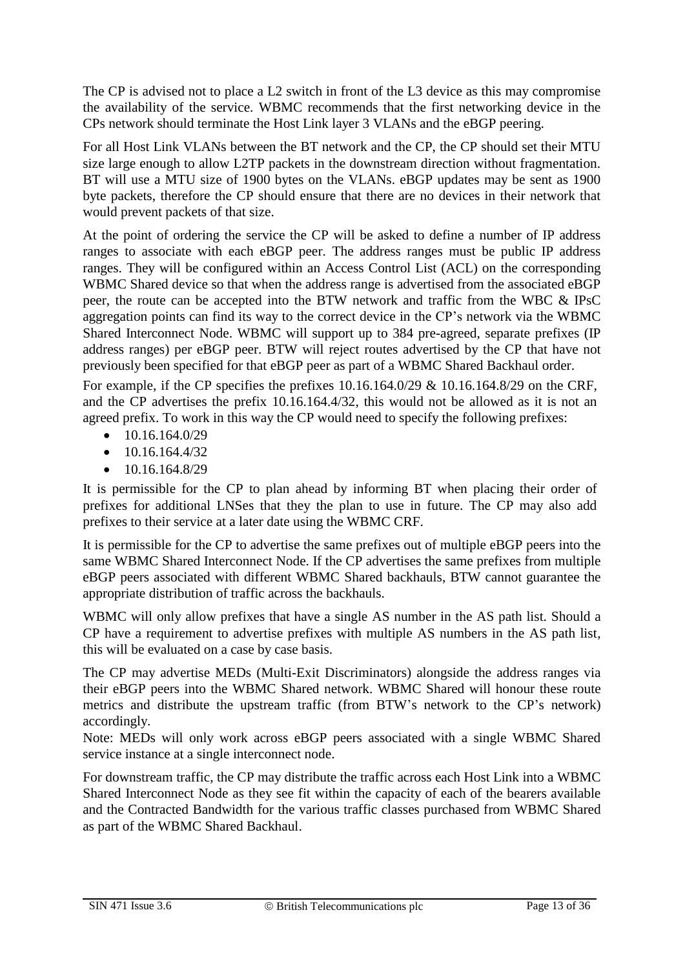The CP is advised not to place a L2 switch in front of the L3 device as this may compromise the availability of the service. WBMC recommends that the first networking device in the CPs network should terminate the Host Link layer 3 VLANs and the eBGP peering.

For all Host Link VLANs between the BT network and the CP, the CP should set their MTU size large enough to allow L2TP packets in the downstream direction without fragmentation. BT will use a MTU size of 1900 bytes on the VLANs. eBGP updates may be sent as 1900 byte packets, therefore the CP should ensure that there are no devices in their network that would prevent packets of that size.

At the point of ordering the service the CP will be asked to define a number of IP address ranges to associate with each eBGP peer. The address ranges must be public IP address ranges. They will be configured within an Access Control List (ACL) on the corresponding WBMC Shared device so that when the address range is advertised from the associated eBGP peer, the route can be accepted into the BTW network and traffic from the WBC & IPsC aggregation points can find its way to the correct device in the CP's network via the WBMC Shared Interconnect Node. WBMC will support up to 384 pre-agreed, separate prefixes (IP address ranges) per eBGP peer. BTW will reject routes advertised by the CP that have not previously been specified for that eBGP peer as part of a WBMC Shared Backhaul order.

For example, if the CP specifies the prefixes 10.16.164.0/29 & 10.16.164.8/29 on the CRF, and the CP advertises the prefix 10.16.164.4/32, this would not be allowed as it is not an agreed prefix. To work in this way the CP would need to specify the following prefixes:

- $\bullet$  10.16.164.0/29
- $\bullet$  10.16.164.4/32
- $\bullet$  10.16.164.8/29

It is permissible for the CP to plan ahead by informing BT when placing their order of prefixes for additional LNSes that they the plan to use in future. The CP may also add prefixes to their service at a later date using the WBMC CRF.

It is permissible for the CP to advertise the same prefixes out of multiple eBGP peers into the same WBMC Shared Interconnect Node. If the CP advertises the same prefixes from multiple eBGP peers associated with different WBMC Shared backhauls, BTW cannot guarantee the appropriate distribution of traffic across the backhauls.

WBMC will only allow prefixes that have a single AS number in the AS path list. Should a CP have a requirement to advertise prefixes with multiple AS numbers in the AS path list, this will be evaluated on a case by case basis.

The CP may advertise MEDs (Multi-Exit Discriminators) alongside the address ranges via their eBGP peers into the WBMC Shared network. WBMC Shared will honour these route metrics and distribute the upstream traffic (from BTW's network to the CP's network) accordingly.

Note: MEDs will only work across eBGP peers associated with a single WBMC Shared service instance at a single interconnect node.

For downstream traffic, the CP may distribute the traffic across each Host Link into a WBMC Shared Interconnect Node as they see fit within the capacity of each of the bearers available and the Contracted Bandwidth for the various traffic classes purchased from WBMC Shared as part of the WBMC Shared Backhaul.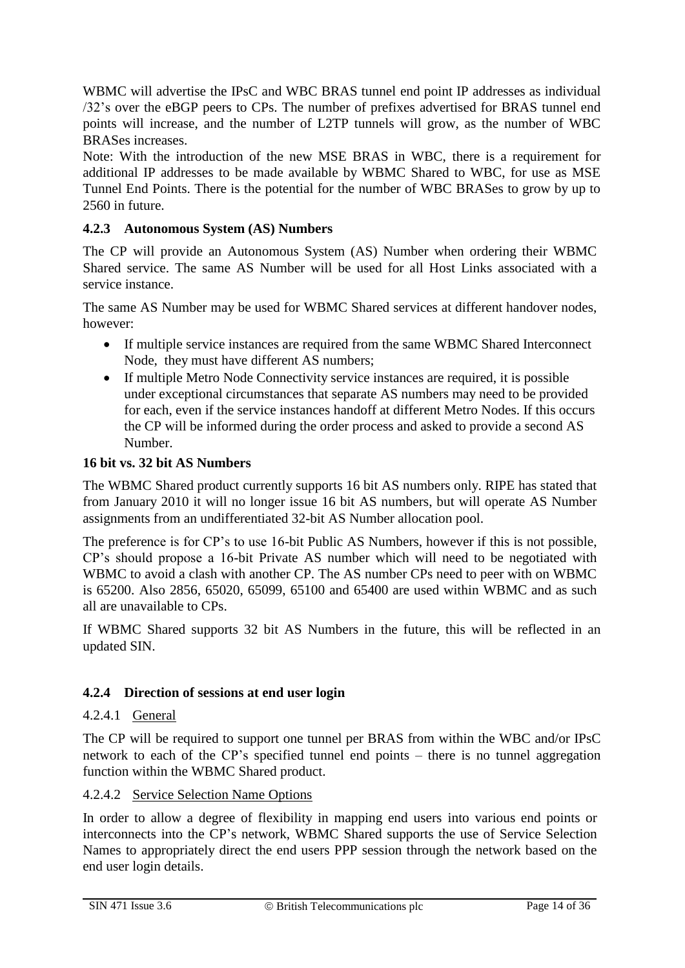WBMC will advertise the IPsC and WBC BRAS tunnel end point IP addresses as individual /32's over the eBGP peers to CPs. The number of prefixes advertised for BRAS tunnel end points will increase, and the number of L2TP tunnels will grow, as the number of WBC BRASes increases.

Note: With the introduction of the new MSE BRAS in WBC, there is a requirement for additional IP addresses to be made available by WBMC Shared to WBC, for use as MSE Tunnel End Points. There is the potential for the number of WBC BRASes to grow by up to 2560 in future.

#### <span id="page-13-0"></span>**4.2.3 Autonomous System (AS) Numbers**

The CP will provide an Autonomous System (AS) Number when ordering their WBMC Shared service. The same AS Number will be used for all Host Links associated with a service instance.

The same AS Number may be used for WBMC Shared services at different handover nodes, however:

- If multiple service instances are required from the same WBMC Shared Interconnect Node, they must have different AS numbers;
- If multiple Metro Node Connectivity service instances are required, it is possible under exceptional circumstances that separate AS numbers may need to be provided for each, even if the service instances handoff at different Metro Nodes. If this occurs the CP will be informed during the order process and asked to provide a second AS Number.

#### **16 bit vs. 32 bit AS Numbers**

The WBMC Shared product currently supports 16 bit AS numbers only. RIPE has stated that from January 2010 it will no longer issue 16 bit AS numbers, but will operate AS Number assignments from an undifferentiated 32-bit AS Number allocation pool.

The preference is for CP's to use 16-bit Public AS Numbers, however if this is not possible, CP's should propose a 16-bit Private AS number which will need to be negotiated with WBMC to avoid a clash with another CP. The AS number CPs need to peer with on WBMC is 65200. Also 2856, 65020, 65099, 65100 and 65400 are used within WBMC and as such all are unavailable to CPs.

If WBMC Shared supports 32 bit AS Numbers in the future, this will be reflected in an updated SIN.

#### <span id="page-13-1"></span>**4.2.4 Direction of sessions at end user login**

#### <span id="page-13-2"></span>4.2.4.1 General

The CP will be required to support one tunnel per BRAS from within the WBC and/or IPsC network to each of the CP's specified tunnel end points – there is no tunnel aggregation function within the WBMC Shared product.

#### <span id="page-13-3"></span>4.2.4.2 Service Selection Name Options

In order to allow a degree of flexibility in mapping end users into various end points or interconnects into the CP's network, WBMC Shared supports the use of Service Selection Names to appropriately direct the end users PPP session through the network based on the end user login details.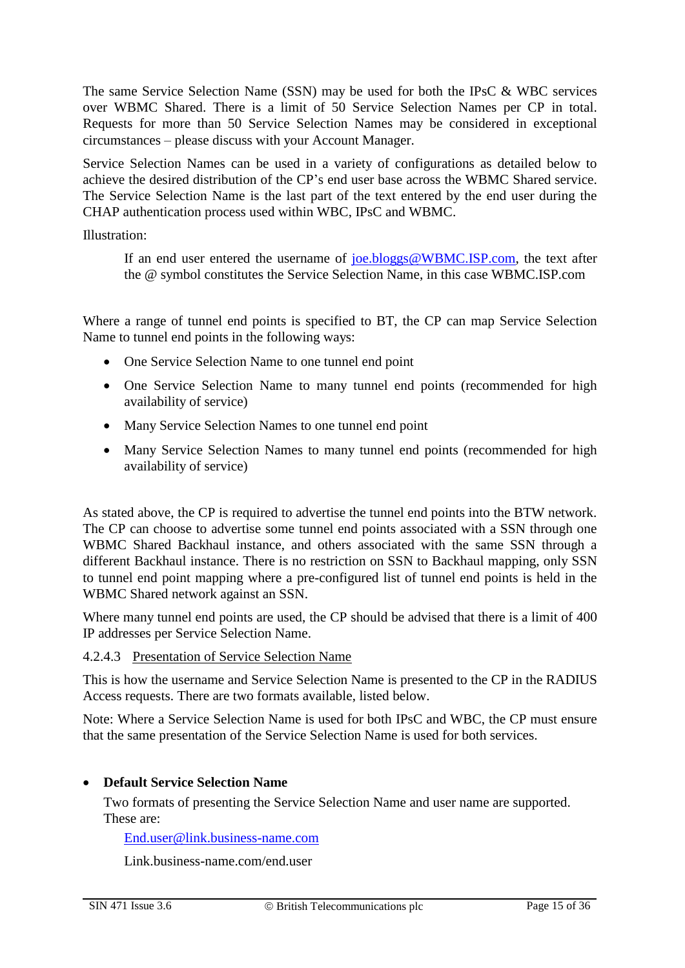The same Service Selection Name (SSN) may be used for both the IPsC & WBC services over WBMC Shared. There is a limit of 50 Service Selection Names per CP in total. Requests for more than 50 Service Selection Names may be considered in exceptional circumstances – please discuss with your Account Manager.

Service Selection Names can be used in a variety of configurations as detailed below to achieve the desired distribution of the CP's end user base across the WBMC Shared service. The Service Selection Name is the last part of the text entered by the end user during the CHAP authentication process used within WBC, IPsC and WBMC.

Illustration:

If an end user entered the username of [joe.bloggs@WBMC.ISP.com,](mailto:joe.bloggs@WBMC.ISP.com) the text after the @ symbol constitutes the Service Selection Name, in this case WBMC.ISP.com

Where a range of tunnel end points is specified to BT, the CP can map Service Selection Name to tunnel end points in the following ways:

- One Service Selection Name to one tunnel end point
- One Service Selection Name to many tunnel end points (recommended for high availability of service)
- Many Service Selection Names to one tunnel end point
- Many Service Selection Names to many tunnel end points (recommended for high availability of service)

As stated above, the CP is required to advertise the tunnel end points into the BTW network. The CP can choose to advertise some tunnel end points associated with a SSN through one WBMC Shared Backhaul instance, and others associated with the same SSN through a different Backhaul instance. There is no restriction on SSN to Backhaul mapping, only SSN to tunnel end point mapping where a pre-configured list of tunnel end points is held in the WBMC Shared network against an SSN.

Where many tunnel end points are used, the CP should be advised that there is a limit of 400 IP addresses per Service Selection Name.

#### <span id="page-14-0"></span>4.2.4.3 Presentation of Service Selection Name

This is how the username and Service Selection Name is presented to the CP in the RADIUS Access requests. There are two formats available, listed below.

Note: Where a Service Selection Name is used for both IPsC and WBC, the CP must ensure that the same presentation of the Service Selection Name is used for both services.

#### **Default Service Selection Name**

Two formats of presenting the Service Selection Name and user name are supported. These are:

[End.user@link.business-name.com](mailto:End.user@link.business-name.com)

Link.business-name.com/end.user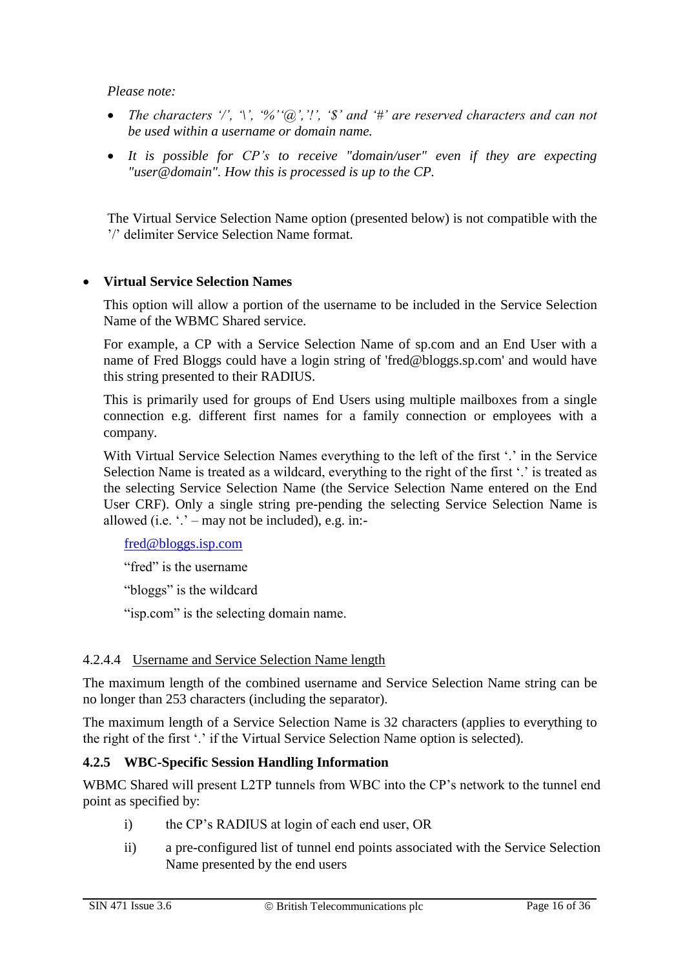*Please note:* 

- *The characters '/', '\', '%''@','!', '\$' and '#' are reserved characters and can not be used within a username or domain name.*
- *It is possible for CP's to receive "domain/user" even if they are expecting "user@domain". How this is processed is up to the CP.*

The Virtual Service Selection Name option (presented below) is not compatible with the '/' delimiter Service Selection Name format.

#### **Virtual Service Selection Names**

This option will allow a portion of the username to be included in the Service Selection Name of the WBMC Shared service.

For example, a CP with a Service Selection Name of sp.com and an End User with a name of Fred Bloggs could have a login string of 'fred@bloggs.sp.com' and would have this string presented to their RADIUS.

This is primarily used for groups of End Users using multiple mailboxes from a single connection e.g. different first names for a family connection or employees with a company.

With Virtual Service Selection Names everything to the left of the first '.' in the Service Selection Name is treated as a wildcard, everything to the right of the first '.' is treated as the selecting Service Selection Name (the Service Selection Name entered on the End User CRF). Only a single string pre-pending the selecting Service Selection Name is allowed (i.e.  $\cdot$ .' – may not be included), e.g. in:-

[fred@bloggs.isp.com](mailto:Fred@blogs.isp.com)

"fred" is the username

"bloggs" is the wildcard

"isp.com" is the selecting domain name.

#### <span id="page-15-0"></span>4.2.4.4 Username and Service Selection Name length

The maximum length of the combined username and Service Selection Name string can be no longer than 253 characters (including the separator).

The maximum length of a Service Selection Name is 32 characters (applies to everything to the right of the first '.' if the Virtual Service Selection Name option is selected).

#### <span id="page-15-1"></span>**4.2.5 WBC-Specific Session Handling Information**

WBMC Shared will present L2TP tunnels from WBC into the CP's network to the tunnel end point as specified by:

- i) the CP's RADIUS at login of each end user, OR
- ii) a pre-configured list of tunnel end points associated with the Service Selection Name presented by the end users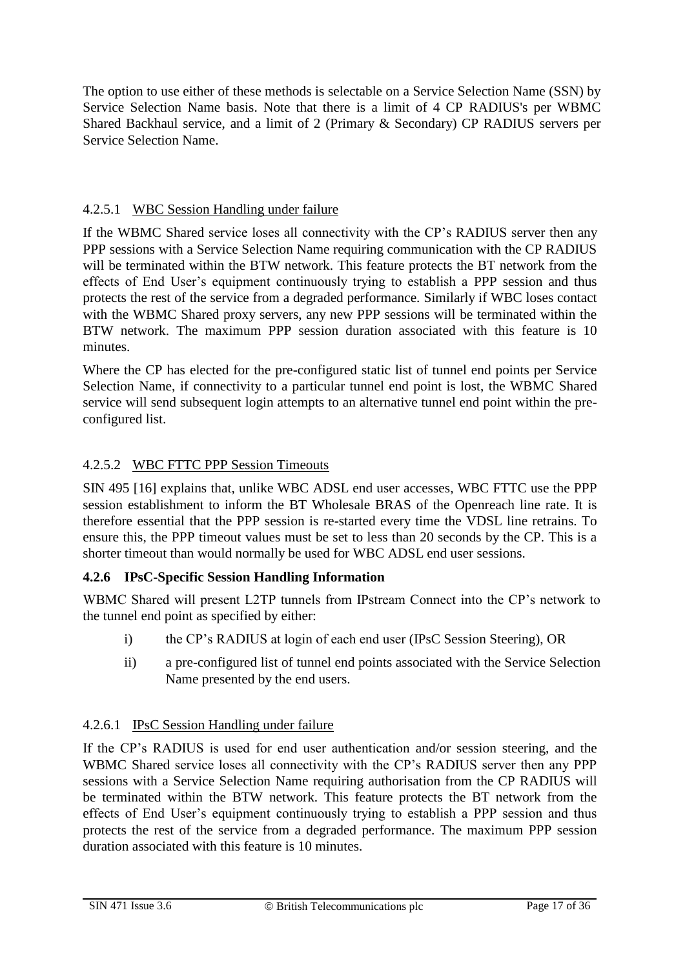The option to use either of these methods is selectable on a Service Selection Name (SSN) by Service Selection Name basis. Note that there is a limit of 4 CP RADIUS's per WBMC Shared Backhaul service, and a limit of 2 (Primary & Secondary) CP RADIUS servers per Service Selection Name.

#### <span id="page-16-0"></span>4.2.5.1 WBC Session Handling under failure

If the WBMC Shared service loses all connectivity with the CP's RADIUS server then any PPP sessions with a Service Selection Name requiring communication with the CP RADIUS will be terminated within the BTW network. This feature protects the BT network from the effects of End User's equipment continuously trying to establish a PPP session and thus protects the rest of the service from a degraded performance. Similarly if WBC loses contact with the WBMC Shared proxy servers, any new PPP sessions will be terminated within the BTW network. The maximum PPP session duration associated with this feature is 10 minutes.

Where the CP has elected for the pre-configured static list of tunnel end points per Service Selection Name, if connectivity to a particular tunnel end point is lost, the WBMC Shared service will send subsequent login attempts to an alternative tunnel end point within the preconfigured list.

#### <span id="page-16-1"></span>4.2.5.2 WBC FTTC PPP Session Timeouts

SIN 495 [16] explains that, unlike WBC ADSL end user accesses, WBC FTTC use the PPP session establishment to inform the BT Wholesale BRAS of the Openreach line rate. It is therefore essential that the PPP session is re-started every time the VDSL line retrains. To ensure this, the PPP timeout values must be set to less than 20 seconds by the CP. This is a shorter timeout than would normally be used for WBC ADSL end user sessions.

#### <span id="page-16-2"></span>**4.2.6 IPsC-Specific Session Handling Information**

WBMC Shared will present L2TP tunnels from IPstream Connect into the CP's network to the tunnel end point as specified by either:

- i) the CP's RADIUS at login of each end user (IPsC Session Steering), OR
- ii) a pre-configured list of tunnel end points associated with the Service Selection Name presented by the end users.

#### <span id="page-16-3"></span>4.2.6.1 IPsC Session Handling under failure

If the CP's RADIUS is used for end user authentication and/or session steering, and the WBMC Shared service loses all connectivity with the CP's RADIUS server then any PPP sessions with a Service Selection Name requiring authorisation from the CP RADIUS will be terminated within the BTW network. This feature protects the BT network from the effects of End User's equipment continuously trying to establish a PPP session and thus protects the rest of the service from a degraded performance. The maximum PPP session duration associated with this feature is 10 minutes.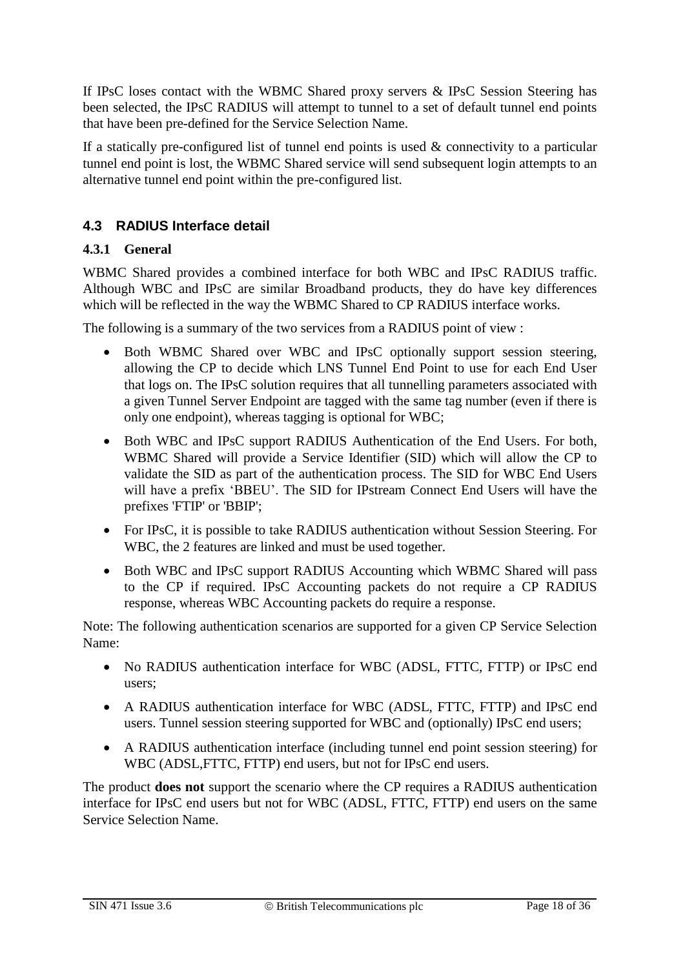If IPsC loses contact with the WBMC Shared proxy servers & IPsC Session Steering has been selected, the IPsC RADIUS will attempt to tunnel to a set of default tunnel end points that have been pre-defined for the Service Selection Name.

If a statically pre-configured list of tunnel end points is used  $\&$  connectivity to a particular tunnel end point is lost, the WBMC Shared service will send subsequent login attempts to an alternative tunnel end point within the pre-configured list.

#### <span id="page-17-0"></span>**4.3 RADIUS Interface detail**

#### <span id="page-17-1"></span>**4.3.1 General**

WBMC Shared provides a combined interface for both WBC and IPsC RADIUS traffic. Although WBC and IPsC are similar Broadband products, they do have key differences which will be reflected in the way the WBMC Shared to CP RADIUS interface works.

The following is a summary of the two services from a RADIUS point of view :

- Both WBMC Shared over WBC and IPsC optionally support session steering, allowing the CP to decide which LNS Tunnel End Point to use for each End User that logs on. The IPsC solution requires that all tunnelling parameters associated with a given Tunnel Server Endpoint are tagged with the same tag number (even if there is only one endpoint), whereas tagging is optional for WBC;
- Both WBC and IPsC support RADIUS Authentication of the End Users. For both, WBMC Shared will provide a Service Identifier (SID) which will allow the CP to validate the SID as part of the authentication process. The SID for WBC End Users will have a prefix 'BBEU'. The SID for IPstream Connect End Users will have the prefixes 'FTIP' or 'BBIP';
- For IPsC, it is possible to take RADIUS authentication without Session Steering. For WBC, the 2 features are linked and must be used together.
- Both WBC and IPsC support RADIUS Accounting which WBMC Shared will pass to the CP if required. IPsC Accounting packets do not require a CP RADIUS response, whereas WBC Accounting packets do require a response.

Note: The following authentication scenarios are supported for a given CP Service Selection Name:

- No RADIUS authentication interface for WBC (ADSL, FTTC, FTTP) or IPsC end users;
- A RADIUS authentication interface for WBC (ADSL, FTTC, FTTP) and IPsC end users. Tunnel session steering supported for WBC and (optionally) IPsC end users;
- A RADIUS authentication interface (including tunnel end point session steering) for WBC (ADSL,FTTC, FTTP) end users, but not for IPsC end users.

The product **does not** support the scenario where the CP requires a RADIUS authentication interface for IPsC end users but not for WBC (ADSL, FTTC, FTTP) end users on the same Service Selection Name.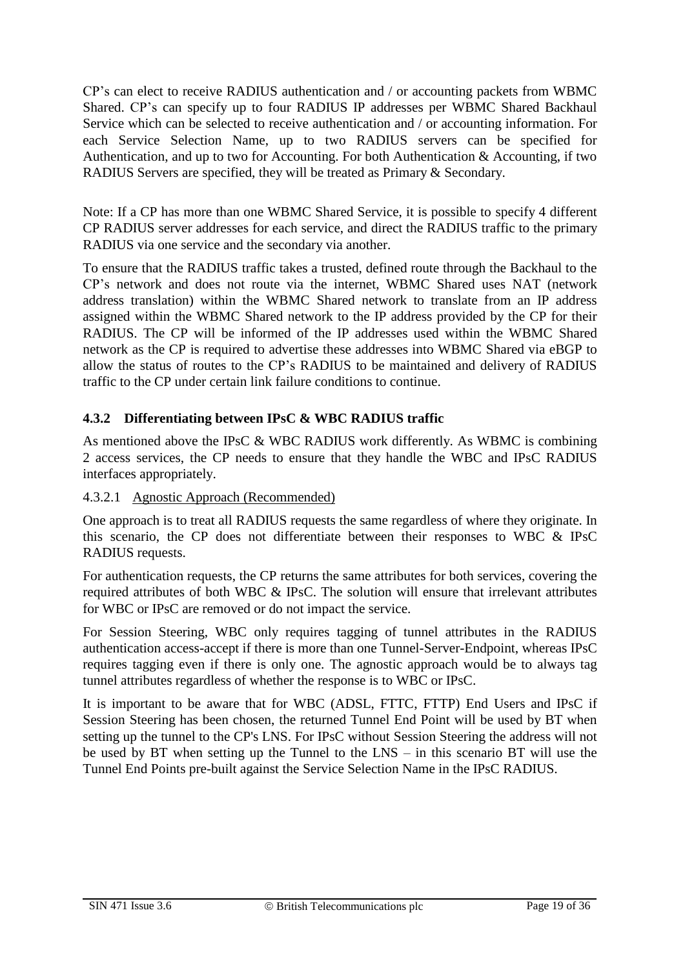CP's can elect to receive RADIUS authentication and / or accounting packets from WBMC Shared. CP's can specify up to four RADIUS IP addresses per WBMC Shared Backhaul Service which can be selected to receive authentication and / or accounting information. For each Service Selection Name, up to two RADIUS servers can be specified for Authentication, and up to two for Accounting. For both Authentication & Accounting, if two RADIUS Servers are specified, they will be treated as Primary & Secondary.

Note: If a CP has more than one WBMC Shared Service, it is possible to specify 4 different CP RADIUS server addresses for each service, and direct the RADIUS traffic to the primary RADIUS via one service and the secondary via another.

To ensure that the RADIUS traffic takes a trusted, defined route through the Backhaul to the CP's network and does not route via the internet, WBMC Shared uses NAT (network address translation) within the WBMC Shared network to translate from an IP address assigned within the WBMC Shared network to the IP address provided by the CP for their RADIUS. The CP will be informed of the IP addresses used within the WBMC Shared network as the CP is required to advertise these addresses into WBMC Shared via eBGP to allow the status of routes to the CP's RADIUS to be maintained and delivery of RADIUS traffic to the CP under certain link failure conditions to continue.

#### <span id="page-18-0"></span>**4.3.2 Differentiating between IPsC & WBC RADIUS traffic**

As mentioned above the IPsC & WBC RADIUS work differently. As WBMC is combining 2 access services, the CP needs to ensure that they handle the WBC and IPsC RADIUS interfaces appropriately.

#### <span id="page-18-1"></span>4.3.2.1 Agnostic Approach (Recommended)

One approach is to treat all RADIUS requests the same regardless of where they originate. In this scenario, the CP does not differentiate between their responses to WBC & IPsC RADIUS requests.

For authentication requests, the CP returns the same attributes for both services, covering the required attributes of both WBC & IPsC. The solution will ensure that irrelevant attributes for WBC or IPsC are removed or do not impact the service.

For Session Steering, WBC only requires tagging of tunnel attributes in the RADIUS authentication access-accept if there is more than one Tunnel-Server-Endpoint, whereas IPsC requires tagging even if there is only one. The agnostic approach would be to always tag tunnel attributes regardless of whether the response is to WBC or IPsC.

It is important to be aware that for WBC (ADSL, FTTC, FTTP) End Users and IPsC if Session Steering has been chosen, the returned Tunnel End Point will be used by BT when setting up the tunnel to the CP's LNS. For IPsC without Session Steering the address will not be used by BT when setting up the Tunnel to the LNS – in this scenario BT will use the Tunnel End Points pre-built against the Service Selection Name in the IPsC RADIUS.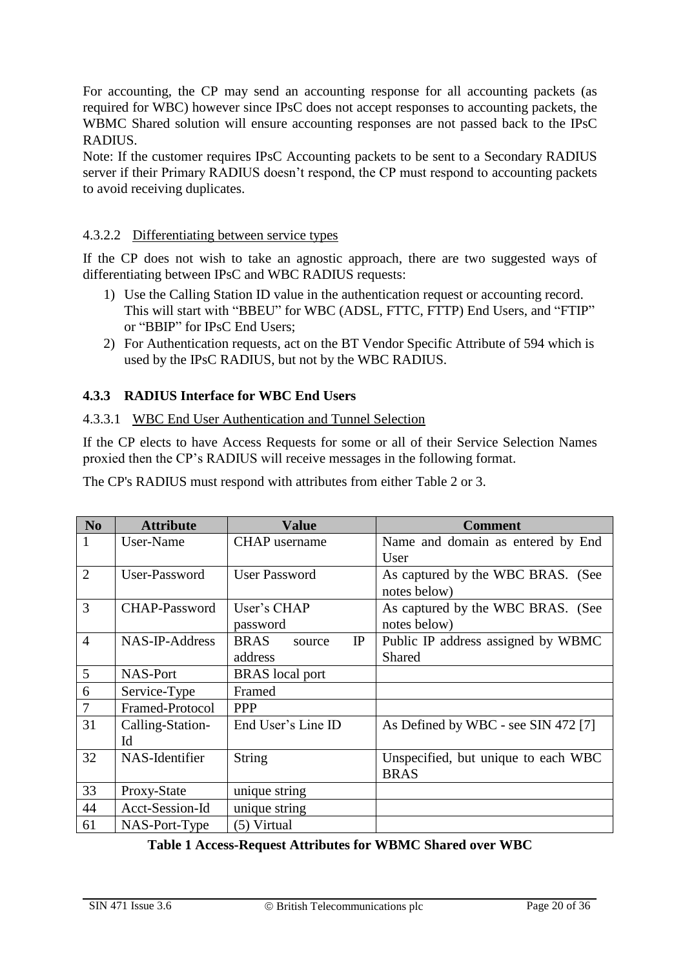For accounting, the CP may send an accounting response for all accounting packets (as required for WBC) however since IPsC does not accept responses to accounting packets, the WBMC Shared solution will ensure accounting responses are not passed back to the IPsC RADIUS.

Note: If the customer requires IPsC Accounting packets to be sent to a Secondary RADIUS server if their Primary RADIUS doesn't respond, the CP must respond to accounting packets to avoid receiving duplicates.

#### <span id="page-19-0"></span>4.3.2.2 Differentiating between service types

If the CP does not wish to take an agnostic approach, there are two suggested ways of differentiating between IPsC and WBC RADIUS requests:

- 1) Use the Calling Station ID value in the authentication request or accounting record. This will start with "BBEU" for WBC (ADSL, FTTC, FTTP) End Users, and "FTIP" or "BBIP" for IPsC End Users;
- 2) For Authentication requests, act on the BT Vendor Specific Attribute of 594 which is used by the IPsC RADIUS, but not by the WBC RADIUS.

#### <span id="page-19-1"></span>**4.3.3 RADIUS Interface for WBC End Users**

#### <span id="page-19-2"></span>4.3.3.1 WBC End User Authentication and Tunnel Selection

If the CP elects to have Access Requests for some or all of their Service Selection Names proxied then the CP's RADIUS will receive messages in the following format.

| N <sub>0</sub> | <b>Attribute</b>     | <b>Value</b>                | <b>Comment</b>                      |
|----------------|----------------------|-----------------------------|-------------------------------------|
| 1              | User-Name            | <b>CHAP</b> username        | Name and domain as entered by End   |
|                |                      |                             | User                                |
| 2              | User-Password        | <b>User Password</b>        | As captured by the WBC BRAS. (See   |
|                |                      |                             | notes below)                        |
| 3              | <b>CHAP-Password</b> | User's CHAP                 | As captured by the WBC BRAS. (See   |
|                |                      | password                    | notes below)                        |
| $\overline{4}$ | NAS-IP-Address       | <b>BRAS</b><br>IP<br>source | Public IP address assigned by WBMC  |
|                |                      | address                     | Shared                              |
| 5              | NAS-Port             | <b>BRAS</b> local port      |                                     |
| 6              | Service-Type         | Framed                      |                                     |
| $\overline{7}$ | Framed-Protocol      | <b>PPP</b>                  |                                     |
| 31             | Calling-Station-     | End User's Line ID          | As Defined by WBC - see SIN 472 [7] |
|                | Id                   |                             |                                     |
| 32             | NAS-Identifier       | String                      | Unspecified, but unique to each WBC |
|                |                      |                             | <b>BRAS</b>                         |
| 33             | Proxy-State          | unique string               |                                     |
| 44             | Acct-Session-Id      | unique string               |                                     |
| 61             | NAS-Port-Type        | (5) Virtual                 |                                     |

The CP's RADIUS must respond with attributes from either Table 2 or 3.

<span id="page-19-3"></span>**Table 1 Access-Request Attributes for WBMC Shared over WBC**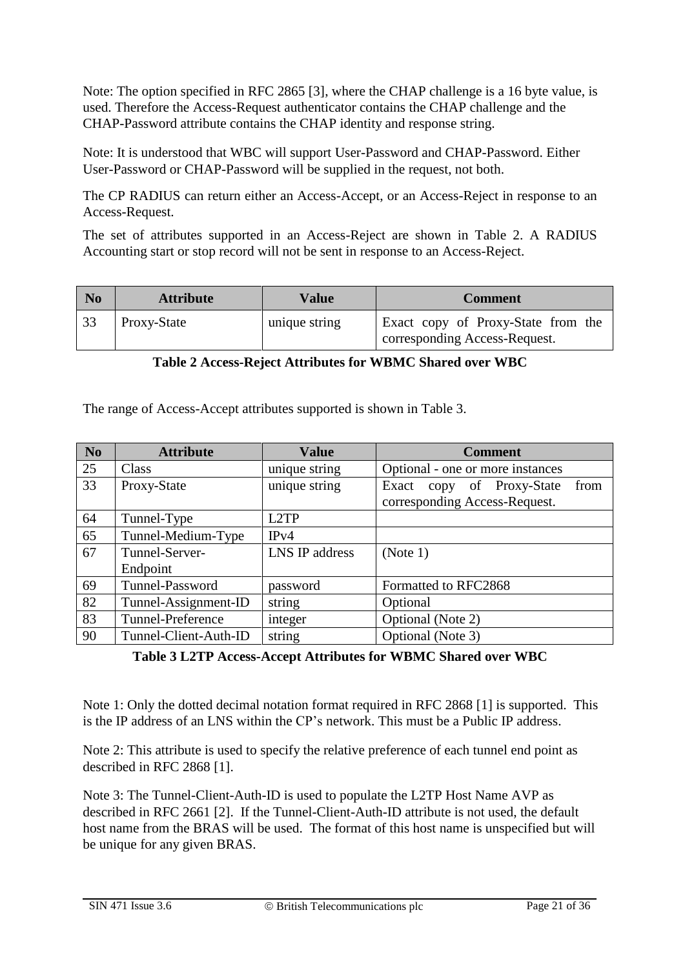Note: The option specified in RFC 2865 [3], where the CHAP challenge is a 16 byte value, is used. Therefore the Access-Request authenticator contains the CHAP challenge and the CHAP-Password attribute contains the CHAP identity and response string.

Note: It is understood that WBC will support User-Password and CHAP-Password. Either User-Password or CHAP-Password will be supplied in the request, not both.

The CP RADIUS can return either an Access-Accept, or an Access-Reject in response to an Access-Request.

The set of attributes supported in an Access-Reject are shown in [Table 2.](#page-20-0) A RADIUS Accounting start or stop record will not be sent in response to an Access-Reject.

| N <sub>0</sub> | <b>Attribute</b> | Value         | <b>Comment</b>                                                      |
|----------------|------------------|---------------|---------------------------------------------------------------------|
| 33             | Proxy-State      | unique string | Exact copy of Proxy-State from the<br>corresponding Access-Request. |

| Table 2 Access-Reject Attributes for WBMC Shared over WBC |  |
|-----------------------------------------------------------|--|
|-----------------------------------------------------------|--|

<span id="page-20-0"></span>The range of Access-Accept attributes supported is shown in [Table 3.](#page-20-1)

| N <sub>0</sub> | <b>Attribute</b>      | <b>Value</b>      | <b>Comment</b>                          |
|----------------|-----------------------|-------------------|-----------------------------------------|
| 25             | Class                 | unique string     | Optional - one or more instances        |
| 33             | Proxy-State           | unique string     | of Proxy-State<br>from<br>Exact<br>copy |
|                |                       |                   | corresponding Access-Request.           |
| 64             | Tunnel-Type           | L <sub>2</sub> TP |                                         |
| 65             | Tunnel-Medium-Type    | IPv4              |                                         |
| 67             | Tunnel-Server-        | LNS IP address    | (Note 1)                                |
|                | Endpoint              |                   |                                         |
| 69             | Tunnel-Password       | password          | Formatted to RFC2868                    |
| 82             | Tunnel-Assignment-ID  | string            | Optional                                |
| 83             | Tunnel-Preference     | integer           | Optional (Note 2)                       |
| 90             | Tunnel-Client-Auth-ID | string            | Optional (Note 3)                       |

<span id="page-20-1"></span>**Table 3 L2TP Access-Accept Attributes for WBMC Shared over WBC**

Note 1: Only the dotted decimal notation format required in RFC 2868 [1] is supported. This is the IP address of an LNS within the CP's network. This must be a Public IP address.

Note 2: This attribute is used to specify the relative preference of each tunnel end point as described in RFC 2868 [1].

Note 3: The Tunnel-Client-Auth-ID is used to populate the L2TP Host Name AVP as described in RFC 2661 [2]. If the Tunnel-Client-Auth-ID attribute is not used, the default host name from the BRAS will be used. The format of this host name is unspecified but will be unique for any given BRAS.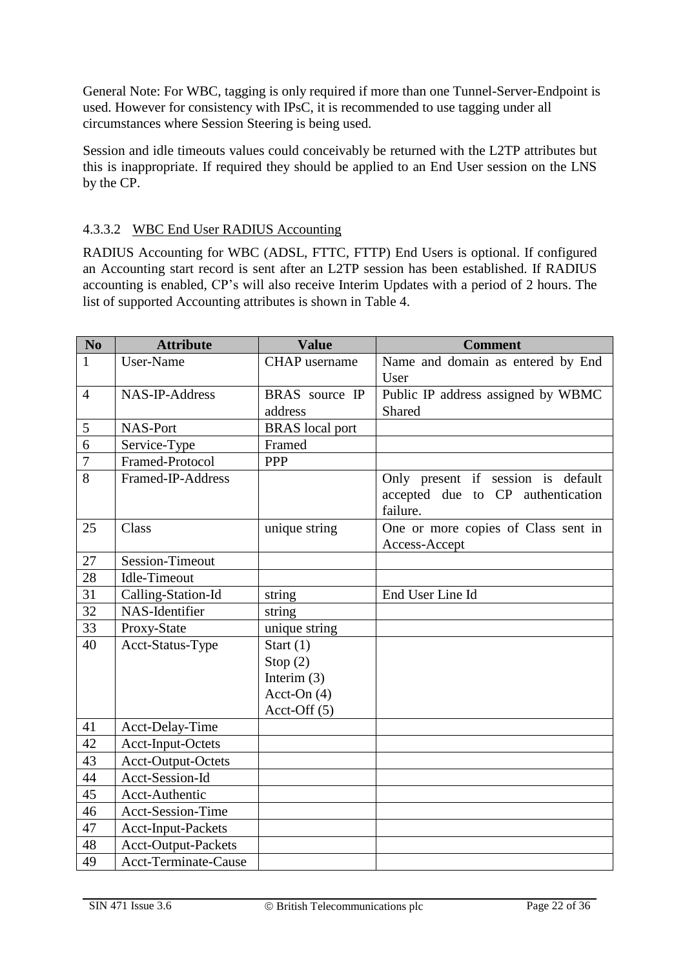General Note: For WBC, tagging is only required if more than one Tunnel-Server-Endpoint is used. However for consistency with IPsC, it is recommended to use tagging under all circumstances where Session Steering is being used.

Session and idle timeouts values could conceivably be returned with the L2TP attributes but this is inappropriate. If required they should be applied to an End User session on the LNS by the CP.

#### <span id="page-21-0"></span>4.3.3.2 WBC End User RADIUS Accounting

RADIUS Accounting for WBC (ADSL, FTTC, FTTP) End Users is optional. If configured an Accounting start record is sent after an L2TP session has been established. If RADIUS accounting is enabled, CP's will also receive Interim Updates with a period of 2 hours. The list of supported Accounting attributes is shown in [Table 4.](#page-22-2)

| <b>No</b>      | <b>Attribute</b>            | <b>Value</b>           | <b>Comment</b>                                                                      |
|----------------|-----------------------------|------------------------|-------------------------------------------------------------------------------------|
| $\mathbf{1}$   | User-Name                   | <b>CHAP</b> username   | Name and domain as entered by End<br>User                                           |
| $\overline{4}$ | NAS-IP-Address              | BRAS source IP         | Public IP address assigned by WBMC                                                  |
|                |                             | address                | Shared                                                                              |
| 5              | NAS-Port                    | <b>BRAS</b> local port |                                                                                     |
| 6              | Service-Type                | Framed                 |                                                                                     |
| $\overline{7}$ | Framed-Protocol             | <b>PPP</b>             |                                                                                     |
| 8              | Framed-IP-Address           |                        | Only present if session is default<br>accepted due to CP authentication<br>failure. |
| 25             | Class                       | unique string          | One or more copies of Class sent in<br>Access-Accept                                |
| 27             | <b>Session-Timeout</b>      |                        |                                                                                     |
| 28             | <b>Idle-Timeout</b>         |                        |                                                                                     |
| 31             | Calling-Station-Id          | string                 | End User Line Id                                                                    |
| 32             | NAS-Identifier              | string                 |                                                                                     |
| 33             | Proxy-State                 | unique string          |                                                                                     |
| 40             | Acct-Status-Type            | Start $(1)$            |                                                                                     |
|                |                             | Stop(2)                |                                                                                     |
|                |                             | Interim $(3)$          |                                                                                     |
|                |                             | Acct-On $(4)$          |                                                                                     |
|                |                             | Acct-Off $(5)$         |                                                                                     |
| 41             | Acct-Delay-Time             |                        |                                                                                     |
| 42             | <b>Acct-Input-Octets</b>    |                        |                                                                                     |
| 43             | Acct-Output-Octets          |                        |                                                                                     |
| 44             | Acct-Session-Id             |                        |                                                                                     |
| 45             | <b>Acct-Authentic</b>       |                        |                                                                                     |
| 46             | <b>Acct-Session-Time</b>    |                        |                                                                                     |
| 47             | Acct-Input-Packets          |                        |                                                                                     |
| 48             | Acct-Output-Packets         |                        |                                                                                     |
| 49             | <b>Acct-Terminate-Cause</b> |                        |                                                                                     |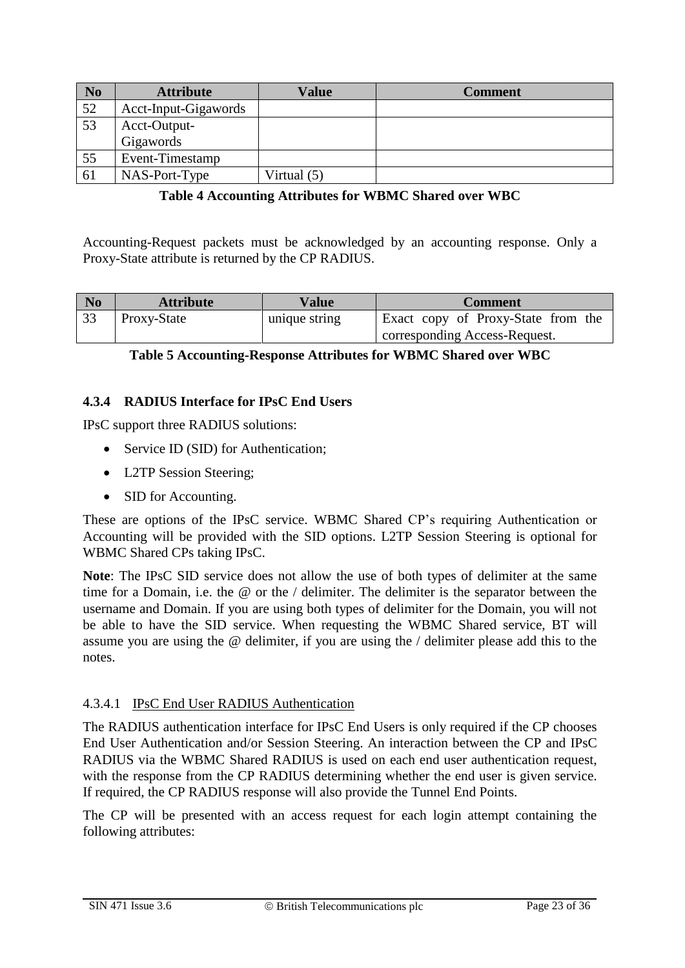| N <sub>0</sub> | <b>Attribute</b>     | Value       | <b>Comment</b> |
|----------------|----------------------|-------------|----------------|
| 52             | Acct-Input-Gigawords |             |                |
| 53             | Acct-Output-         |             |                |
|                | Gigawords            |             |                |
| 55             | Event-Timestamp      |             |                |
| 61             | NAS-Port-Type        | Virtual (5) |                |

#### **Table 4 Accounting Attributes for WBMC Shared over WBC**

<span id="page-22-2"></span>Accounting-Request packets must be acknowledged by an accounting response. Only a Proxy-State attribute is returned by the CP RADIUS.

| N <sub>0</sub> | <b>Attribute</b> | Value         | <b>Comment</b>                     |
|----------------|------------------|---------------|------------------------------------|
| 33             | Proxy-State      | unique string | Exact copy of Proxy-State from the |
|                |                  |               | corresponding Access-Request.      |

#### <span id="page-22-3"></span>**Table 5 Accounting-Response Attributes for WBMC Shared over WBC**

#### <span id="page-22-0"></span>**4.3.4 RADIUS Interface for IPsC End Users**

IPsC support three RADIUS solutions:

- Service ID (SID) for Authentication;
- L2TP Session Steering;
- SID for Accounting.

These are options of the IPsC service. WBMC Shared CP's requiring Authentication or Accounting will be provided with the SID options. L2TP Session Steering is optional for WBMC Shared CPs taking IPsC.

**Note**: The IPsC SID service does not allow the use of both types of delimiter at the same time for a Domain, i.e. the @ or the / delimiter. The delimiter is the separator between the username and Domain. If you are using both types of delimiter for the Domain, you will not be able to have the SID service. When requesting the WBMC Shared service, BT will assume you are using the @ delimiter, if you are using the / delimiter please add this to the notes.

#### <span id="page-22-1"></span>4.3.4.1 IPsC End User RADIUS Authentication

The RADIUS authentication interface for IPsC End Users is only required if the CP chooses End User Authentication and/or Session Steering. An interaction between the CP and IPsC RADIUS via the WBMC Shared RADIUS is used on each end user authentication request, with the response from the CP RADIUS determining whether the end user is given service. If required, the CP RADIUS response will also provide the Tunnel End Points.

The CP will be presented with an access request for each login attempt containing the following attributes: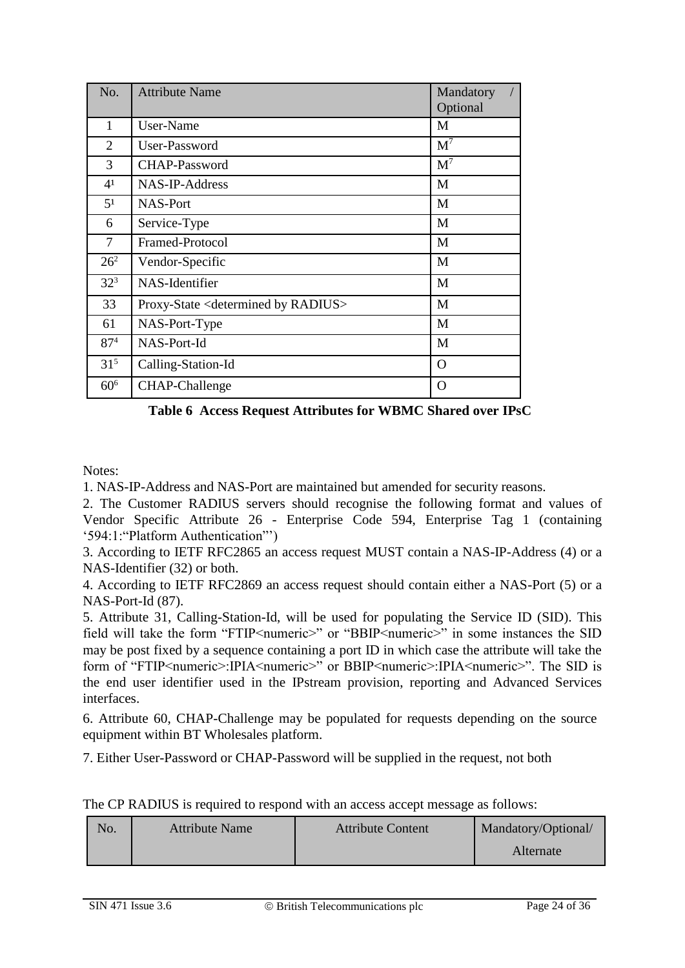| No.             | <b>Attribute Name</b>                                 | Mandatory      |
|-----------------|-------------------------------------------------------|----------------|
|                 |                                                       | Optional       |
| 1               | User-Name                                             | M              |
| 2               | User-Password                                         | $\mathbf{M}^7$ |
| 3               | CHAP-Password                                         | $\mathbf{M}^7$ |
| 4 <sup>1</sup>  | NAS-IP-Address                                        | M              |
| 5 <sup>1</sup>  | <b>NAS-Port</b>                                       | M              |
| 6               | Service-Type                                          | M              |
| $\tau$          | Framed-Protocol                                       | M              |
| $26^{2}$        | Vendor-Specific                                       | M              |
| 32 <sup>3</sup> | NAS-Identifier                                        | M              |
| 33              | Proxy-State <determined by="" radius=""></determined> | M              |
| 61              | NAS-Port-Type                                         | M              |
| 87 <sup>4</sup> | NAS-Port-Id                                           | M              |
| $31^{5}$        | Calling-Station-Id                                    | $\Omega$       |
| 60 <sup>6</sup> | CHAP-Challenge                                        | $\Omega$       |

**Table 6 Access Request Attributes for WBMC Shared over IPsC**

<span id="page-23-0"></span>Notes:

1. NAS-IP-Address and NAS-Port are maintained but amended for security reasons.

2. The Customer RADIUS servers should recognise the following format and values of Vendor Specific Attribute 26 - Enterprise Code 594, Enterprise Tag 1 (containing '594:1:"Platform Authentication"')

3. According to IETF RFC2865 an access request MUST contain a NAS-IP-Address (4) or a NAS-Identifier (32) or both.

4. According to IETF RFC2869 an access request should contain either a NAS-Port (5) or a NAS-Port-Id (87).

5. Attribute 31, Calling-Station-Id, will be used for populating the Service ID (SID). This field will take the form "FTIP<numeric>" or "BBIP<numeric>" in some instances the SID may be post fixed by a sequence containing a port ID in which case the attribute will take the form of "FTIP<numeric>:IPIA<numeric>" or BBIP<numeric>:IPIA<numeric>". The SID is the end user identifier used in the IPstream provision, reporting and Advanced Services interfaces.

6. Attribute 60, CHAP-Challenge may be populated for requests depending on the source equipment within BT Wholesales platform.

7. Either User-Password or CHAP-Password will be supplied in the request, not both

| The CP RADIUS is required to respond with an access accept message as follows: |
|--------------------------------------------------------------------------------|
|--------------------------------------------------------------------------------|

| No. | <b>Attribute Name</b> | <b>Attribute Content</b> | Mandatory/Optional/ |
|-----|-----------------------|--------------------------|---------------------|
|     |                       |                          | Alternate           |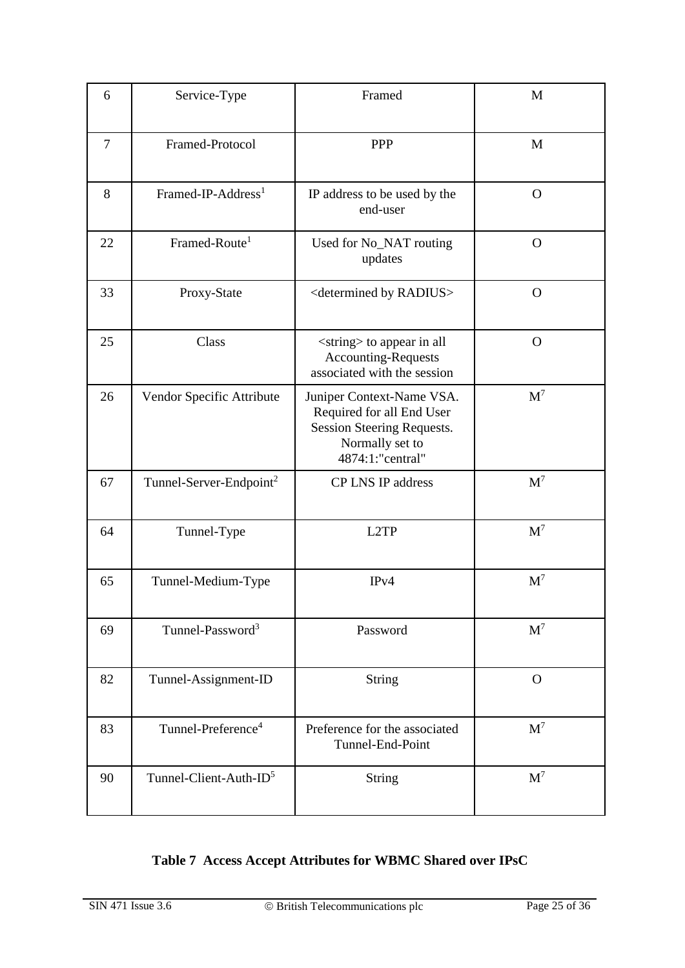| 6              | Service-Type                        | Framed                                                                                                                      | M              |
|----------------|-------------------------------------|-----------------------------------------------------------------------------------------------------------------------------|----------------|
| $\overline{7}$ | Framed-Protocol                     | PPP                                                                                                                         | M              |
| 8              | Framed-IP-Address <sup>1</sup>      | IP address to be used by the<br>end-user                                                                                    | $\Omega$       |
| 22             | Framed-Route <sup>1</sup>           | Used for No_NAT routing<br>updates                                                                                          | $\Omega$       |
| 33             | Proxy-State                         | <determined by="" radius=""></determined>                                                                                   | $\mathbf{O}$   |
| 25             | Class                               | <string> to appear in all<br/><b>Accounting-Requests</b><br/>associated with the session</string>                           | $\mathbf{O}$   |
| 26             | Vendor Specific Attribute           | Juniper Context-Name VSA.<br>Required for all End User<br>Session Steering Requests.<br>Normally set to<br>4874:1:"central" | $M^7$          |
| 67             | Tunnel-Server-Endpoint <sup>2</sup> | <b>CP LNS IP address</b>                                                                                                    | $M^7$          |
| 64             | Tunnel-Type                         | L2TP                                                                                                                        | $M^7$          |
| 65             | Tunnel-Medium-Type                  | IPv4                                                                                                                        | $M^7$          |
| 69             | Tunnel-Password <sup>3</sup>        | Password                                                                                                                    | $M^7$          |
| 82             | Tunnel-Assignment-ID                | <b>String</b>                                                                                                               | $\mathbf{O}$   |
| 83             | Tunnel-Preference <sup>4</sup>      | Preference for the associated<br>Tunnel-End-Point                                                                           | $\mathbf{M}^7$ |
| 90             | Tunnel-Client-Auth-ID <sup>5</sup>  | <b>String</b>                                                                                                               | $M^7$          |

### <span id="page-24-0"></span>**Table 7 Access Accept Attributes for WBMC Shared over IPsC**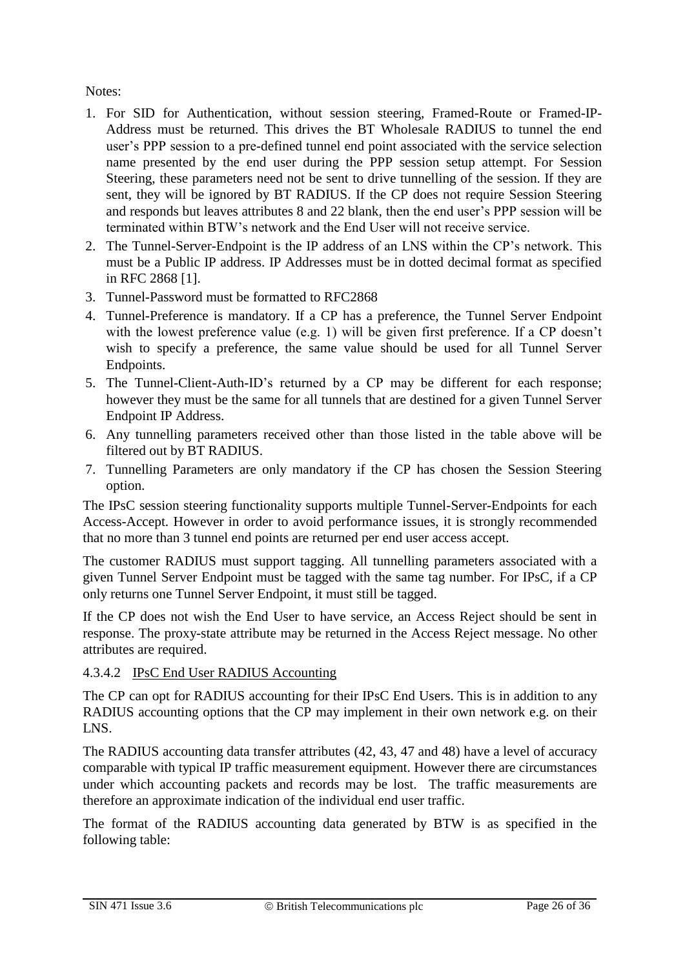#### Notes:

- 1. For SID for Authentication, without session steering, Framed-Route or Framed-IP-Address must be returned. This drives the BT Wholesale RADIUS to tunnel the end user's PPP session to a pre-defined tunnel end point associated with the service selection name presented by the end user during the PPP session setup attempt. For Session Steering, these parameters need not be sent to drive tunnelling of the session. If they are sent, they will be ignored by BT RADIUS. If the CP does not require Session Steering and responds but leaves attributes 8 and 22 blank, then the end user's PPP session will be terminated within BTW's network and the End User will not receive service.
- 2. The Tunnel-Server-Endpoint is the IP address of an LNS within the CP's network. This must be a Public IP address. IP Addresses must be in dotted decimal format as specified in RFC 2868 [1].
- 3. Tunnel-Password must be formatted to RFC2868
- 4. Tunnel-Preference is mandatory. If a CP has a preference, the Tunnel Server Endpoint with the lowest preference value (e.g. 1) will be given first preference. If a CP doesn't wish to specify a preference, the same value should be used for all Tunnel Server Endpoints.
- 5. The Tunnel-Client-Auth-ID's returned by a CP may be different for each response; however they must be the same for all tunnels that are destined for a given Tunnel Server Endpoint IP Address.
- 6. Any tunnelling parameters received other than those listed in the table above will be filtered out by BT RADIUS.
- 7. Tunnelling Parameters are only mandatory if the CP has chosen the Session Steering option.

The IPsC session steering functionality supports multiple Tunnel-Server-Endpoints for each Access-Accept. However in order to avoid performance issues, it is strongly recommended that no more than 3 tunnel end points are returned per end user access accept.

The customer RADIUS must support tagging. All tunnelling parameters associated with a given Tunnel Server Endpoint must be tagged with the same tag number. For IPsC, if a CP only returns one Tunnel Server Endpoint, it must still be tagged.

If the CP does not wish the End User to have service, an Access Reject should be sent in response. The proxy-state attribute may be returned in the Access Reject message. No other attributes are required.

<span id="page-25-0"></span>4.3.4.2 IPsC End User RADIUS Accounting

The CP can opt for RADIUS accounting for their IPsC End Users. This is in addition to any RADIUS accounting options that the CP may implement in their own network e.g. on their LNS.

The RADIUS accounting data transfer attributes (42, 43, 47 and 48) have a level of accuracy comparable with typical IP traffic measurement equipment. However there are circumstances under which accounting packets and records may be lost. The traffic measurements are therefore an approximate indication of the individual end user traffic.

The format of the RADIUS accounting data generated by BTW is as specified in the following table: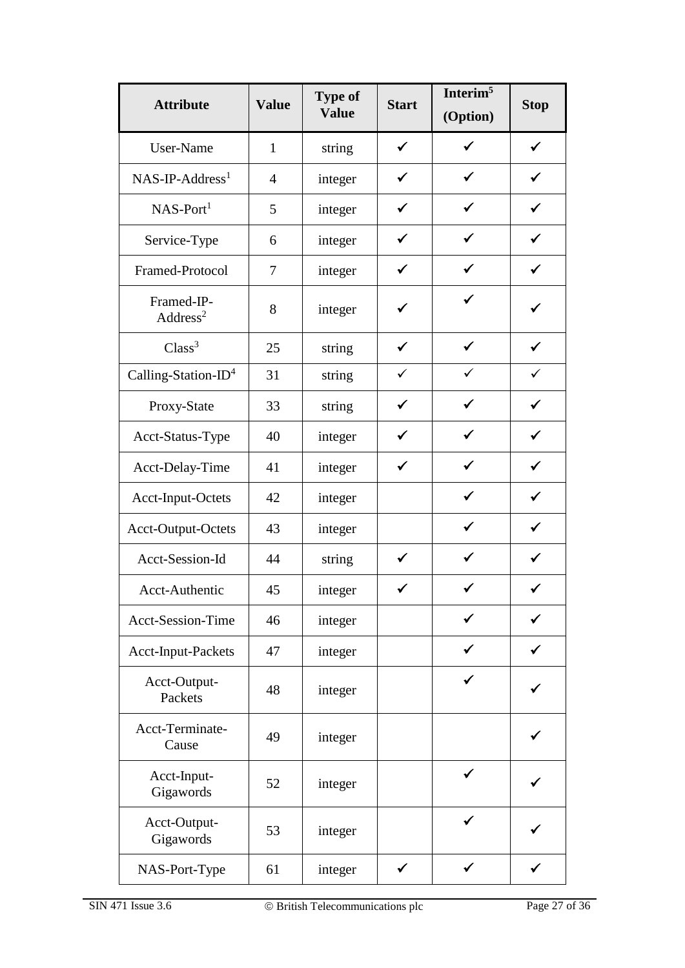| <b>Attribute</b>                   | <b>Value</b>   | <b>Type of</b><br><b>Value</b> | <b>Start</b> | Interim <sup>5</sup><br>(Option) | <b>Stop</b>  |
|------------------------------------|----------------|--------------------------------|--------------|----------------------------------|--------------|
| User-Name                          | $\mathbf{1}$   | string                         | $\checkmark$ | ✓                                | $\checkmark$ |
| $NAS-IP-Address1$                  | $\overline{4}$ | integer                        | $\checkmark$ | ✓                                | $\checkmark$ |
| $NAS-Port1$                        | 5              | integer                        | $\checkmark$ | ✓                                | $\checkmark$ |
| Service-Type                       | 6              | integer                        | $\checkmark$ | $\checkmark$                     | $\checkmark$ |
| Framed-Protocol                    | 7              | integer                        | $\checkmark$ | ✓                                | ✓            |
| Framed-IP-<br>Address <sup>2</sup> | 8              | integer                        | ✓            | ✔                                | ✓            |
| Class <sup>3</sup>                 | 25             | string                         | $\checkmark$ | $\checkmark$                     | $\checkmark$ |
| Calling-Station-ID <sup>4</sup>    | 31             | string                         | $\checkmark$ | ✓                                | $\checkmark$ |
| Proxy-State                        | 33             | string                         | $\checkmark$ | $\checkmark$                     | $\checkmark$ |
| Acct-Status-Type                   | 40             | integer                        | $\checkmark$ | ✔                                | ✓            |
| Acct-Delay-Time                    | 41             | integer                        | $\checkmark$ | ✓                                | $\checkmark$ |
| Acct-Input-Octets                  | 42             | integer                        |              | ✔                                | $\checkmark$ |
| Acct-Output-Octets                 | 43             | integer                        |              | ✓                                | $\checkmark$ |
| Acct-Session-Id                    | 44             | string                         | ✓            | ✓                                | $\checkmark$ |
| Acct-Authentic                     | 45             | integer                        | ✓            | ✔                                | ✓            |
| <b>Acct-Session-Time</b>           | 46             | integer                        |              | ✓                                |              |
| <b>Acct-Input-Packets</b>          | 47             | integer                        |              |                                  |              |
| Acct-Output-<br>Packets            | 48             | integer                        |              |                                  |              |
| Acct-Terminate-<br>Cause           | 49             | integer                        |              |                                  |              |
| Acct-Input-<br>Gigawords           | 52             | integer                        |              |                                  |              |
| Acct-Output-<br>Gigawords          | 53             | integer                        |              |                                  |              |
| NAS-Port-Type                      | 61             | integer                        | $\checkmark$ | ✓                                |              |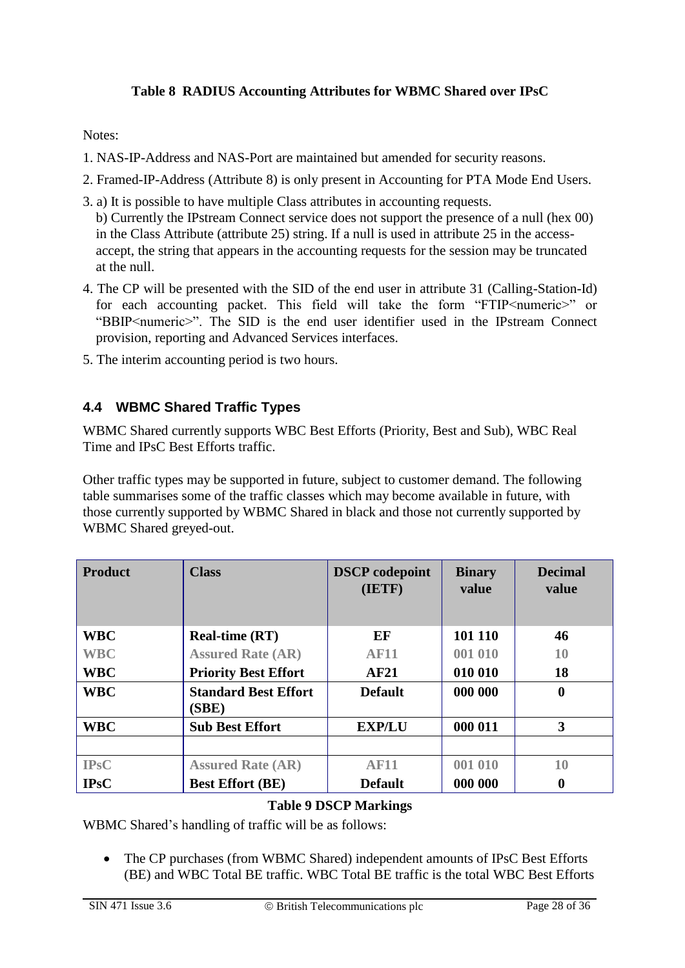#### **Table 8 RADIUS Accounting Attributes for WBMC Shared over IPsC**

<span id="page-27-1"></span>Notes:

- 1. NAS-IP-Address and NAS-Port are maintained but amended for security reasons.
- 2. Framed-IP-Address (Attribute 8) is only present in Accounting for PTA Mode End Users.
- 3. a) It is possible to have multiple Class attributes in accounting requests. b) Currently the IPstream Connect service does not support the presence of a null (hex 00) in the Class Attribute (attribute 25) string. If a null is used in attribute 25 in the accessaccept, the string that appears in the accounting requests for the session may be truncated at the null.
- 4. The CP will be presented with the SID of the end user in attribute 31 (Calling-Station-Id) for each accounting packet. This field will take the form "FTIP<numeric>" or "BBIP<numeric>". The SID is the end user identifier used in the IPstream Connect provision, reporting and Advanced Services interfaces.
- 5. The interim accounting period is two hours.

#### <span id="page-27-0"></span>**4.4 WBMC Shared Traffic Types**

WBMC Shared currently supports WBC Best Efforts (Priority, Best and Sub), WBC Real Time and IPsC Best Efforts traffic.

Other traffic types may be supported in future, subject to customer demand. The following table summarises some of the traffic classes which may become available in future, with those currently supported by WBMC Shared in black and those not currently supported by WBMC Shared greyed-out.

| <b>Product</b> | <b>Class</b>                         | <b>DSCP</b> codepoint<br>(IETF) | <b>Binary</b><br>value | <b>Decimal</b><br>value |
|----------------|--------------------------------------|---------------------------------|------------------------|-------------------------|
| <b>WBC</b>     | <b>Real-time (RT)</b>                | EF                              | 101 110                | 46                      |
| <b>WBC</b>     | <b>Assured Rate (AR)</b>             | <b>AF11</b>                     | 001 010                | 10                      |
| <b>WBC</b>     | <b>Priority Best Effort</b>          | AF21                            | 010 010                | 18                      |
| <b>WBC</b>     | <b>Standard Best Effort</b><br>(SBE) | <b>Default</b>                  | 000 000                | $\boldsymbol{0}$        |
| <b>WBC</b>     | <b>Sub Best Effort</b>               | <b>EXP/LU</b>                   | 000 011                | 3                       |
|                |                                      |                                 |                        |                         |
| <b>IPsC</b>    | <b>Assured Rate (AR)</b>             | <b>AF11</b>                     | 001 010                | 10                      |
| <b>IPsC</b>    | <b>Best Effort (BE)</b>              | <b>Default</b>                  | 000 000                | $\boldsymbol{0}$        |

#### **Table 9 DSCP Markings**

<span id="page-27-2"></span>WBMC Shared's handling of traffic will be as follows:

• The CP purchases (from WBMC Shared) independent amounts of IPsC Best Efforts (BE) and WBC Total BE traffic. WBC Total BE traffic is the total WBC Best Efforts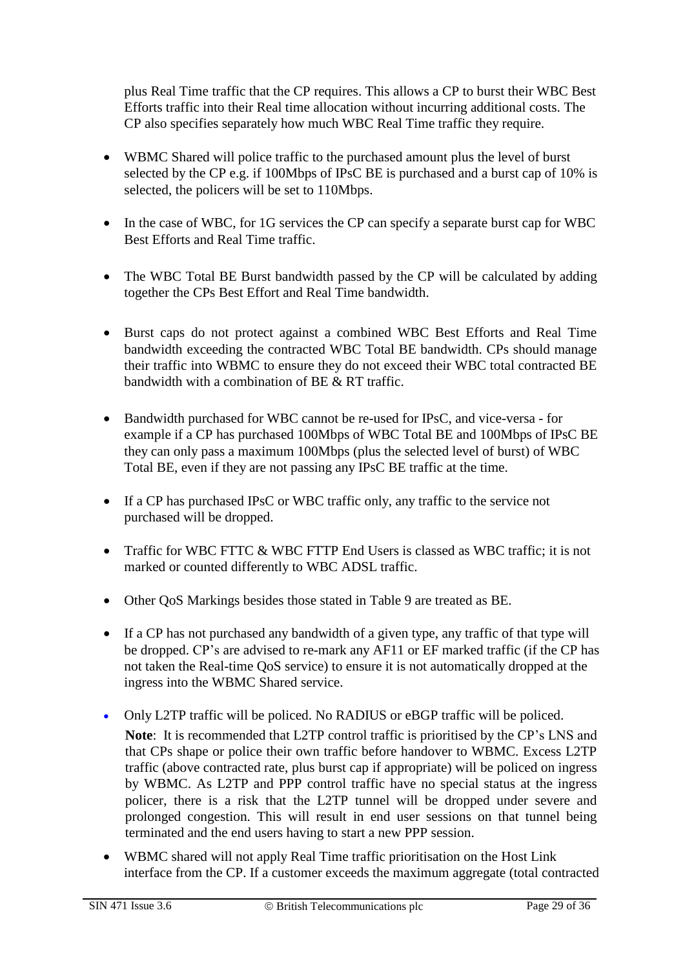plus Real Time traffic that the CP requires. This allows a CP to burst their WBC Best Efforts traffic into their Real time allocation without incurring additional costs. The CP also specifies separately how much WBC Real Time traffic they require.

- WBMC Shared will police traffic to the purchased amount plus the level of burst selected by the CP e.g. if 100Mbps of IPsC BE is purchased and a burst cap of 10% is selected, the policers will be set to 110Mbps.
- In the case of WBC, for 1G services the CP can specify a separate burst cap for WBC Best Efforts and Real Time traffic.
- The WBC Total BE Burst bandwidth passed by the CP will be calculated by adding together the CPs Best Effort and Real Time bandwidth.
- Burst caps do not protect against a combined WBC Best Efforts and Real Time bandwidth exceeding the contracted WBC Total BE bandwidth. CPs should manage their traffic into WBMC to ensure they do not exceed their WBC total contracted BE bandwidth with a combination of BE & RT traffic.
- Bandwidth purchased for WBC cannot be re-used for IPsC, and vice-versa for example if a CP has purchased 100Mbps of WBC Total BE and 100Mbps of IPsC BE they can only pass a maximum 100Mbps (plus the selected level of burst) of WBC Total BE, even if they are not passing any IPsC BE traffic at the time.
- If a CP has purchased IPsC or WBC traffic only, any traffic to the service not purchased will be dropped.
- Traffic for WBC FTTC & WBC FTTP End Users is classed as WBC traffic; it is not marked or counted differently to WBC ADSL traffic.
- Other QoS Markings besides those stated in [Table 9](#page-27-2) are treated as BE.
- If a CP has not purchased any bandwidth of a given type, any traffic of that type will be dropped. CP's are advised to re-mark any AF11 or EF marked traffic (if the CP has not taken the Real-time QoS service) to ensure it is not automatically dropped at the ingress into the WBMC Shared service.
- Only L2TP traffic will be policed. No RADIUS or eBGP traffic will be policed. **Note**: It is recommended that L2TP control traffic is prioritised by the CP's LNS and that CPs shape or police their own traffic before handover to WBMC. Excess L2TP traffic (above contracted rate, plus burst cap if appropriate) will be policed on ingress by WBMC. As L2TP and PPP control traffic have no special status at the ingress policer, there is a risk that the L2TP tunnel will be dropped under severe and prolonged congestion. This will result in end user sessions on that tunnel being terminated and the end users having to start a new PPP session.
- WBMC shared will not apply Real Time traffic prioritisation on the Host Link interface from the CP. If a customer exceeds the maximum aggregate (total contracted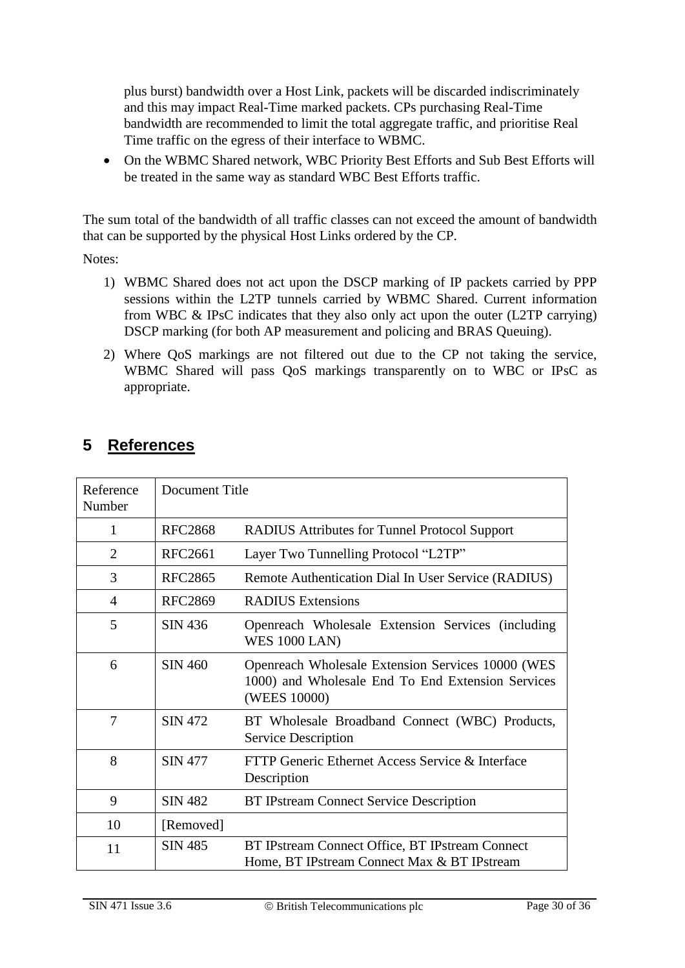plus burst) bandwidth over a Host Link, packets will be discarded indiscriminately and this may impact Real-Time marked packets. CPs purchasing Real-Time bandwidth are recommended to limit the total aggregate traffic, and prioritise Real Time traffic on the egress of their interface to WBMC.

 On the WBMC Shared network, WBC Priority Best Efforts and Sub Best Efforts will be treated in the same way as standard WBC Best Efforts traffic.

The sum total of the bandwidth of all traffic classes can not exceed the amount of bandwidth that can be supported by the physical Host Links ordered by the CP.

Notes:

- 1) WBMC Shared does not act upon the DSCP marking of IP packets carried by PPP sessions within the L2TP tunnels carried by WBMC Shared. Current information from WBC & IPsC indicates that they also only act upon the outer (L2TP carrying) DSCP marking (for both AP measurement and policing and BRAS Queuing).
- 2) Where QoS markings are not filtered out due to the CP not taking the service, WBMC Shared will pass QoS markings transparently on to WBC or IPsC as appropriate.

| Reference<br>Number | Document Title |                                                                                                                        |
|---------------------|----------------|------------------------------------------------------------------------------------------------------------------------|
| $\mathbf{1}$        | <b>RFC2868</b> | <b>RADIUS Attributes for Tunnel Protocol Support</b>                                                                   |
| $\overline{2}$      | <b>RFC2661</b> | Layer Two Tunnelling Protocol "L2TP"                                                                                   |
| 3                   | <b>RFC2865</b> | Remote Authentication Dial In User Service (RADIUS)                                                                    |
| 4                   | <b>RFC2869</b> | <b>RADIUS</b> Extensions                                                                                               |
| 5                   | SIN 436        | Openreach Wholesale Extension Services (including<br><b>WES 1000 LAN)</b>                                              |
| 6                   | <b>SIN 460</b> | Openreach Wholesale Extension Services 10000 (WES<br>1000) and Wholesale End To End Extension Services<br>(WEES 10000) |
| 7                   | <b>SIN 472</b> | BT Wholesale Broadband Connect (WBC) Products,<br><b>Service Description</b>                                           |
| 8                   | <b>SIN 477</b> | FTTP Generic Ethernet Access Service & Interface<br>Description                                                        |
| 9                   | <b>SIN 482</b> | <b>BT IPstream Connect Service Description</b>                                                                         |
| 10                  | [Removed]      |                                                                                                                        |
| 11                  | <b>SIN 485</b> | BT IPstream Connect Office, BT IPstream Connect<br>Home, BT IPstream Connect Max & BT IPstream                         |

# <span id="page-29-0"></span>**5 References**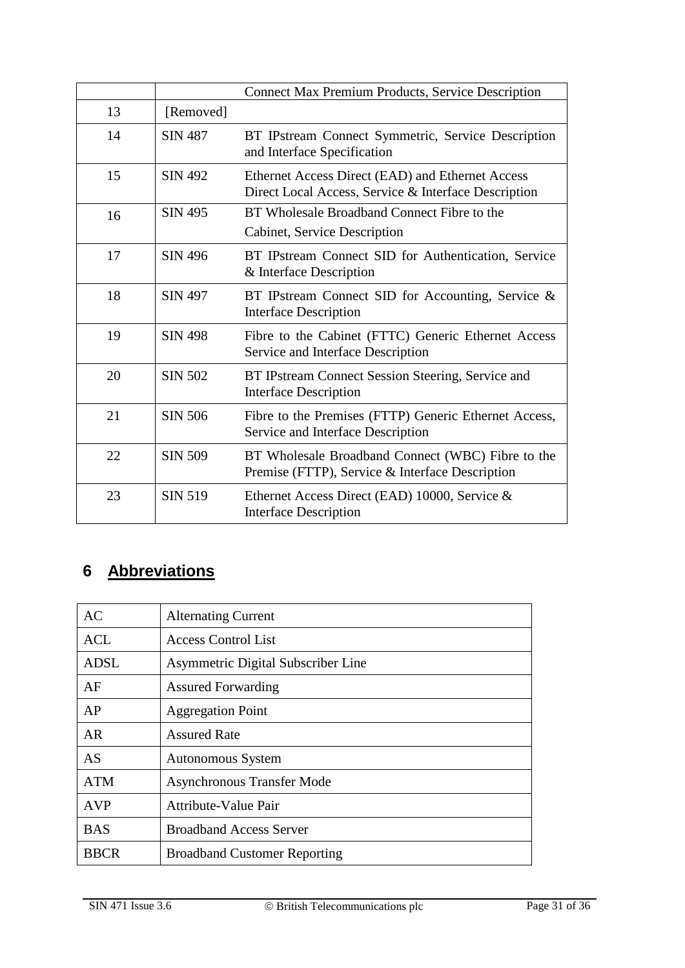|    |                | <b>Connect Max Premium Products, Service Description</b>                                                 |
|----|----------------|----------------------------------------------------------------------------------------------------------|
| 13 | [Removed]      |                                                                                                          |
| 14 | <b>SIN 487</b> | BT IPstream Connect Symmetric, Service Description<br>and Interface Specification                        |
| 15 | <b>SIN 492</b> | Ethernet Access Direct (EAD) and Ethernet Access<br>Direct Local Access, Service & Interface Description |
| 16 | <b>SIN 495</b> | BT Wholesale Broadband Connect Fibre to the<br>Cabinet, Service Description                              |
| 17 | <b>SIN 496</b> | BT IPstream Connect SID for Authentication, Service<br>& Interface Description                           |
| 18 | <b>SIN 497</b> | BT IPstream Connect SID for Accounting, Service &<br><b>Interface Description</b>                        |
| 19 | <b>SIN 498</b> | Fibre to the Cabinet (FTTC) Generic Ethernet Access<br>Service and Interface Description                 |
| 20 | <b>SIN 502</b> | BT IPstream Connect Session Steering, Service and<br><b>Interface Description</b>                        |
| 21 | <b>SIN 506</b> | Fibre to the Premises (FTTP) Generic Ethernet Access,<br>Service and Interface Description               |
| 22 | <b>SIN 509</b> | BT Wholesale Broadband Connect (WBC) Fibre to the<br>Premise (FTTP), Service & Interface Description     |
| 23 | <b>SIN 519</b> | Ethernet Access Direct (EAD) 10000, Service $\&$<br><b>Interface Description</b>                         |

# <span id="page-30-0"></span>**6 Abbreviations**

| AC          | <b>Alternating Current</b>          |
|-------------|-------------------------------------|
| <b>ACL</b>  | <b>Access Control List</b>          |
| <b>ADSL</b> | Asymmetric Digital Subscriber Line  |
| AF          | <b>Assured Forwarding</b>           |
| AP          | <b>Aggregation Point</b>            |
| <b>AR</b>   | <b>Assured Rate</b>                 |
| <b>AS</b>   | <b>Autonomous System</b>            |
| <b>ATM</b>  | <b>Asynchronous Transfer Mode</b>   |
| <b>AVP</b>  | <b>Attribute-Value Pair</b>         |
| <b>BAS</b>  | <b>Broadband Access Server</b>      |
| <b>BBCR</b> | <b>Broadband Customer Reporting</b> |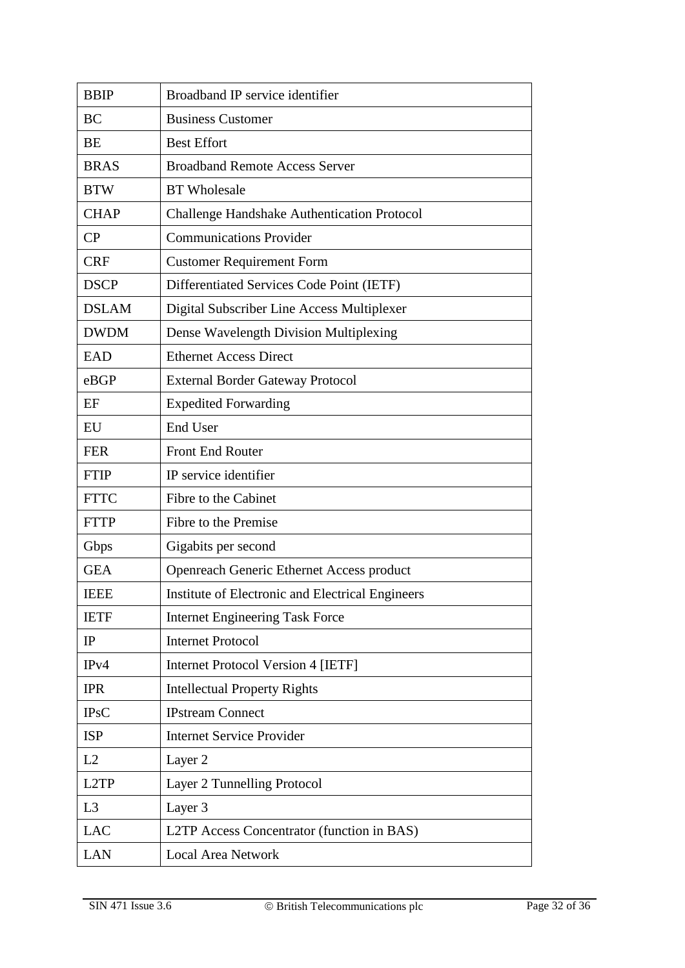| <b>BBIP</b>    | Broadband IP service identifier                    |  |  |
|----------------|----------------------------------------------------|--|--|
| <b>BC</b>      | <b>Business Customer</b>                           |  |  |
| <b>BE</b>      | <b>Best Effort</b>                                 |  |  |
| <b>BRAS</b>    | <b>Broadband Remote Access Server</b>              |  |  |
| <b>BTW</b>     | <b>BT</b> Wholesale                                |  |  |
| <b>CHAP</b>    | <b>Challenge Handshake Authentication Protocol</b> |  |  |
| CP             | <b>Communications Provider</b>                     |  |  |
| <b>CRF</b>     | <b>Customer Requirement Form</b>                   |  |  |
| <b>DSCP</b>    | Differentiated Services Code Point (IETF)          |  |  |
| <b>DSLAM</b>   | Digital Subscriber Line Access Multiplexer         |  |  |
| <b>DWDM</b>    | Dense Wavelength Division Multiplexing             |  |  |
| <b>EAD</b>     | <b>Ethernet Access Direct</b>                      |  |  |
| eBGP           | <b>External Border Gateway Protocol</b>            |  |  |
| EF             | <b>Expedited Forwarding</b>                        |  |  |
| EU             | <b>End User</b>                                    |  |  |
| <b>FER</b>     | <b>Front End Router</b>                            |  |  |
| <b>FTIP</b>    | IP service identifier                              |  |  |
| <b>FTTC</b>    | Fibre to the Cabinet                               |  |  |
| <b>FTTP</b>    | Fibre to the Premise                               |  |  |
| Gbps           | Gigabits per second                                |  |  |
| <b>GEA</b>     | Openreach Generic Ethernet Access product          |  |  |
| <b>IEEE</b>    | Institute of Electronic and Electrical Engineers   |  |  |
| <b>IETF</b>    | <b>Internet Engineering Task Force</b>             |  |  |
| IP             | <b>Internet Protocol</b>                           |  |  |
| IPv4           | <b>Internet Protocol Version 4 [IETF]</b>          |  |  |
| <b>IPR</b>     | <b>Intellectual Property Rights</b>                |  |  |
| <b>IPsC</b>    | <b>IPstream Connect</b>                            |  |  |
| <b>ISP</b>     | <b>Internet Service Provider</b>                   |  |  |
| L2             | Layer 2                                            |  |  |
| L2TP           | Layer 2 Tunnelling Protocol                        |  |  |
| L <sub>3</sub> | Layer 3                                            |  |  |
| <b>LAC</b>     | L2TP Access Concentrator (function in BAS)         |  |  |
| <b>LAN</b>     | <b>Local Area Network</b>                          |  |  |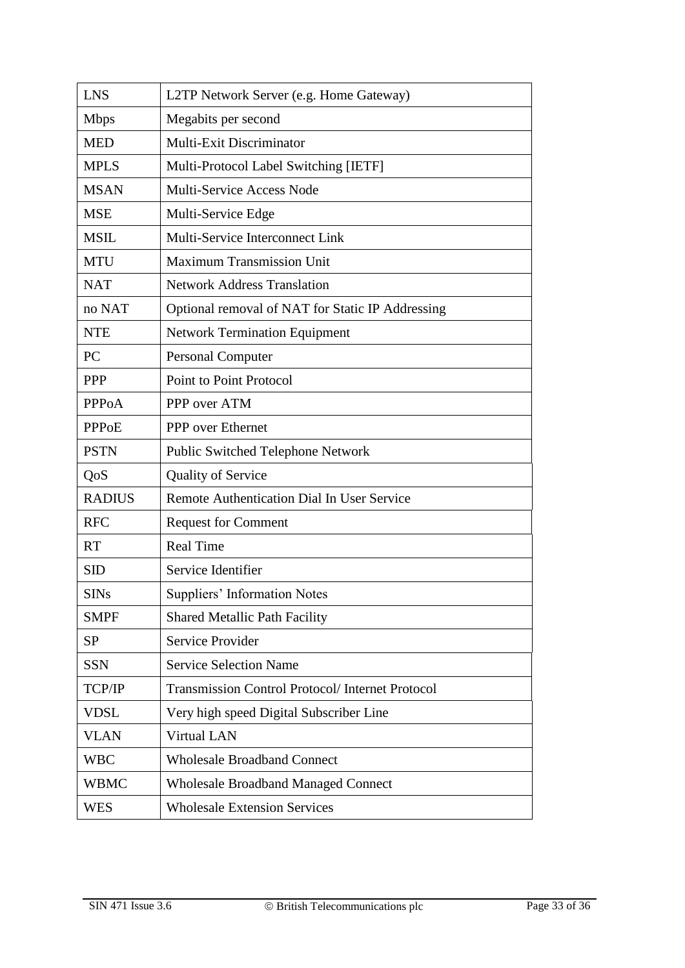| <b>LNS</b>    | L2TP Network Server (e.g. Home Gateway)                |  |
|---------------|--------------------------------------------------------|--|
| <b>Mbps</b>   | Megabits per second                                    |  |
| <b>MED</b>    | <b>Multi-Exit Discriminator</b>                        |  |
| <b>MPLS</b>   | Multi-Protocol Label Switching [IETF]                  |  |
| <b>MSAN</b>   | Multi-Service Access Node                              |  |
| <b>MSE</b>    | Multi-Service Edge                                     |  |
| <b>MSIL</b>   | Multi-Service Interconnect Link                        |  |
| <b>MTU</b>    | <b>Maximum Transmission Unit</b>                       |  |
| <b>NAT</b>    | <b>Network Address Translation</b>                     |  |
| no NAT        | Optional removal of NAT for Static IP Addressing       |  |
| <b>NTE</b>    | <b>Network Termination Equipment</b>                   |  |
| <b>PC</b>     | <b>Personal Computer</b>                               |  |
| <b>PPP</b>    | <b>Point to Point Protocol</b>                         |  |
| <b>PPPoA</b>  | PPP over ATM                                           |  |
| <b>PPPoE</b>  | PPP over Ethernet                                      |  |
| <b>PSTN</b>   | Public Switched Telephone Network                      |  |
| QoS           | <b>Quality of Service</b>                              |  |
| <b>RADIUS</b> | Remote Authentication Dial In User Service             |  |
| <b>RFC</b>    | <b>Request for Comment</b>                             |  |
| <b>RT</b>     | <b>Real Time</b>                                       |  |
| <b>SID</b>    | Service Identifier                                     |  |
| <b>SINs</b>   | <b>Suppliers' Information Notes</b>                    |  |
| <b>SMPF</b>   | <b>Shared Metallic Path Facility</b>                   |  |
| <b>SP</b>     | <b>Service Provider</b>                                |  |
| <b>SSN</b>    | <b>Service Selection Name</b>                          |  |
| TCP/IP        | <b>Transmission Control Protocol/Internet Protocol</b> |  |
| <b>VDSL</b>   | Very high speed Digital Subscriber Line                |  |
| <b>VLAN</b>   | <b>Virtual LAN</b>                                     |  |
| <b>WBC</b>    | <b>Wholesale Broadband Connect</b>                     |  |
| <b>WBMC</b>   | <b>Wholesale Broadband Managed Connect</b>             |  |
| WES           | <b>Wholesale Extension Services</b>                    |  |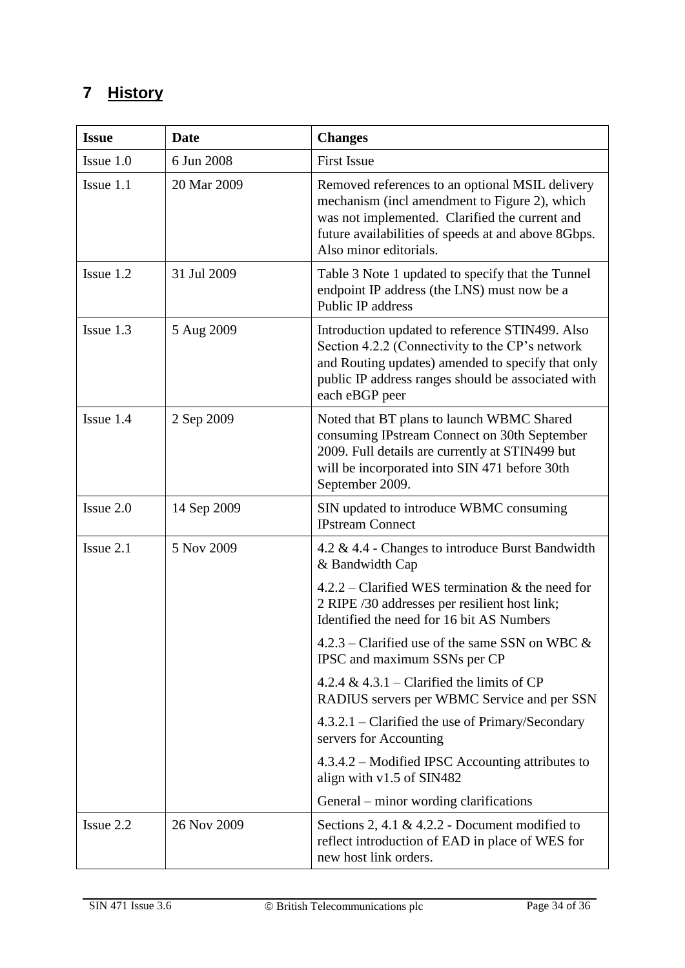# <span id="page-33-0"></span>**7 History**

| <b>Issue</b> | <b>Date</b> | <b>Changes</b>                                                                                                                                                                                                                      |
|--------------|-------------|-------------------------------------------------------------------------------------------------------------------------------------------------------------------------------------------------------------------------------------|
| Issue 1.0    | 6 Jun 2008  | <b>First Issue</b>                                                                                                                                                                                                                  |
| Issue 1.1    | 20 Mar 2009 | Removed references to an optional MSIL delivery<br>mechanism (incl amendment to Figure 2), which<br>was not implemented. Clarified the current and<br>future availabilities of speeds at and above 8Gbps.<br>Also minor editorials. |
| Issue 1.2    | 31 Jul 2009 | Table 3 Note 1 updated to specify that the Tunnel<br>endpoint IP address (the LNS) must now be a<br>Public IP address                                                                                                               |
| Issue 1.3    | 5 Aug 2009  | Introduction updated to reference STIN499. Also<br>Section 4.2.2 (Connectivity to the CP's network<br>and Routing updates) amended to specify that only<br>public IP address ranges should be associated with<br>each eBGP peer     |
| Issue 1.4    | 2 Sep 2009  | Noted that BT plans to launch WBMC Shared<br>consuming IPstream Connect on 30th September<br>2009. Full details are currently at STIN499 but<br>will be incorporated into SIN 471 before 30th<br>September 2009.                    |
| Issue 2.0    | 14 Sep 2009 | SIN updated to introduce WBMC consuming<br><b>IPstream Connect</b>                                                                                                                                                                  |
| Issue 2.1    | 5 Nov 2009  | 4.2 & 4.4 - Changes to introduce Burst Bandwidth<br>& Bandwidth Cap                                                                                                                                                                 |
|              |             | $4.2.2$ – Clarified WES termination & the need for<br>2 RIPE /30 addresses per resilient host link;<br>Identified the need for 16 bit AS Numbers                                                                                    |
|              |             | 4.2.3 – Clarified use of the same SSN on WBC &<br>IPSC and maximum SSNs per CP                                                                                                                                                      |
|              |             | 4.2.4 & 4.3.1 – Clarified the limits of CP<br>RADIUS servers per WBMC Service and per SSN                                                                                                                                           |
|              |             | $4.3.2.1$ – Clarified the use of Primary/Secondary<br>servers for Accounting                                                                                                                                                        |
|              |             | 4.3.4.2 – Modified IPSC Accounting attributes to<br>align with v1.5 of SIN482                                                                                                                                                       |
|              |             | General – minor wording clarifications                                                                                                                                                                                              |
| Issue 2.2    | 26 Nov 2009 | Sections 2, 4.1 & 4.2.2 - Document modified to<br>reflect introduction of EAD in place of WES for<br>new host link orders.                                                                                                          |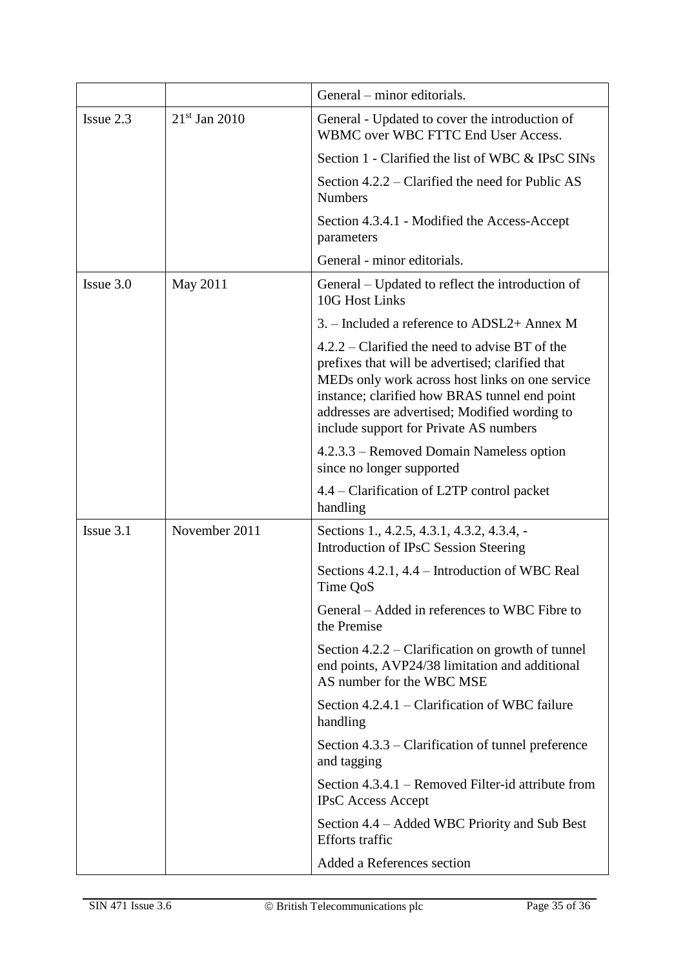|             |                 | General – minor editorials.                                                                                                                                                                                                                                                                         |
|-------------|-----------------|-----------------------------------------------------------------------------------------------------------------------------------------------------------------------------------------------------------------------------------------------------------------------------------------------------|
| Issue $2.3$ | $21st$ Jan 2010 | General - Updated to cover the introduction of<br>WBMC over WBC FTTC End User Access.                                                                                                                                                                                                               |
|             |                 | Section 1 - Clarified the list of WBC & IPsC SINs                                                                                                                                                                                                                                                   |
|             |                 | Section 4.2.2 – Clarified the need for Public AS<br><b>Numbers</b>                                                                                                                                                                                                                                  |
|             |                 | Section 4.3.4.1 - Modified the Access-Accept<br>parameters                                                                                                                                                                                                                                          |
|             |                 | General - minor editorials.                                                                                                                                                                                                                                                                         |
| Issue 3.0   | May 2011        | General – Updated to reflect the introduction of<br>10G Host Links                                                                                                                                                                                                                                  |
|             |                 | 3. – Included a reference to ADSL2+ Annex M                                                                                                                                                                                                                                                         |
|             |                 | $4.2.2$ – Clarified the need to advise BT of the<br>prefixes that will be advertised; clarified that<br>MEDs only work across host links on one service<br>instance; clarified how BRAS tunnel end point<br>addresses are advertised; Modified wording to<br>include support for Private AS numbers |
|             |                 | 4.2.3.3 – Removed Domain Nameless option<br>since no longer supported                                                                                                                                                                                                                               |
|             |                 | 4.4 – Clarification of L2TP control packet<br>handling                                                                                                                                                                                                                                              |
| $Issue$ 3.1 | November 2011   | Sections 1., 4.2.5, 4.3.1, 4.3.2, 4.3.4, -<br>Introduction of IPsC Session Steering                                                                                                                                                                                                                 |
|             |                 | Sections 4.2.1, 4.4 – Introduction of WBC Real<br>Time QoS                                                                                                                                                                                                                                          |
|             |                 | General – Added in references to WBC Fibre to<br>the Premise                                                                                                                                                                                                                                        |
|             |                 | Section $4.2.2$ – Clarification on growth of tunnel<br>end points, AVP24/38 limitation and additional<br>AS number for the WBC MSE                                                                                                                                                                  |
|             |                 | Section 4.2.4.1 – Clarification of WBC failure<br>handling                                                                                                                                                                                                                                          |
|             |                 | Section 4.3.3 – Clarification of tunnel preference<br>and tagging                                                                                                                                                                                                                                   |
|             |                 | Section 4.3.4.1 – Removed Filter-id attribute from<br><b>IPsC</b> Access Accept                                                                                                                                                                                                                     |
|             |                 | Section 4.4 – Added WBC Priority and Sub Best<br><b>Efforts</b> traffic                                                                                                                                                                                                                             |
|             |                 | Added a References section                                                                                                                                                                                                                                                                          |